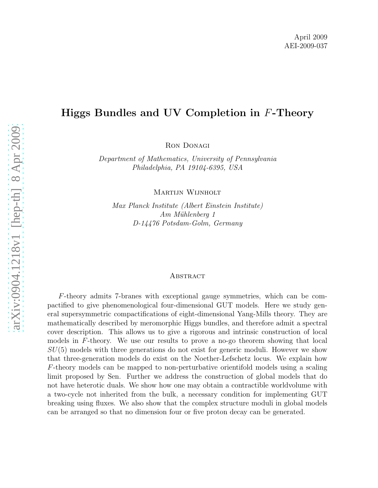# Higgs Bundles and UV Completion in F-Theory

Ron Donagi

*Department of Mathematics, University of Pennsylvania Philadelphia, PA 19104-6395, USA*

Martijn Wijnholt

*Max Planck Institute (Albert Einstein Institute) Am M¨uhlenberg 1 D-14476 Potsdam-Golm, Germany*

#### Abstract

F-theory admits 7-branes with exceptional gauge symmetries, which can be compactified to give phenomenological four-dimensional GUT models. Here we study general supersymmetric compactifications of eight-dimensional Yang-Mills theory. They are mathematically described by meromorphic Higgs bundles, and therefore admit a spectral cover description. This allows us to give a rigorous and intrinsic construction of local models in F-theory. We use our results to prove a no-go theorem showing that local  $SU(5)$  models with three generations do not exist for generic moduli. However we show that three-generation models do exist on the Noether-Lefschetz locus. We explain how F-theory models can be mapped to non-perturbative orientifold models using a scaling limit proposed by Sen. Further we address the construction of global models that do not have heterotic duals. We show how one may obtain a contractible worldvolume with a two-cycle not inherited from the bulk, a necessary condition for implementing GUT breaking using fluxes. We also show that the complex structure moduli in global models can be arranged so that no dimension four or five proton decay can be generated.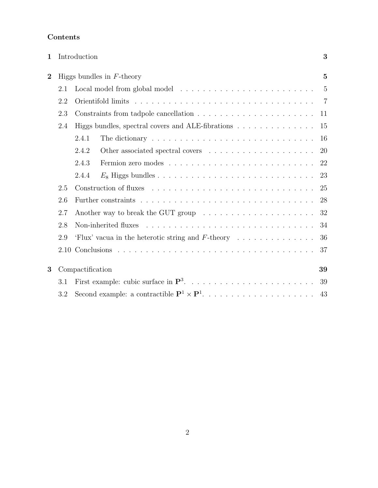## Contents

| 1              | Introduction |                                                      |                                                                                        |                |  |  |  |  |
|----------------|--------------|------------------------------------------------------|----------------------------------------------------------------------------------------|----------------|--|--|--|--|
| $\overline{2}$ |              |                                                      | Higgs bundles in $F$ -theory                                                           | $\overline{5}$ |  |  |  |  |
|                | 2.1          |                                                      | $\overline{5}$                                                                         |                |  |  |  |  |
|                | 2.2          |                                                      |                                                                                        |                |  |  |  |  |
|                | 2.3          |                                                      |                                                                                        |                |  |  |  |  |
|                | 2.4          |                                                      | Higgs bundles, spectral covers and ALE-fibrations                                      | 15             |  |  |  |  |
|                |              | 2.4.1                                                | The dictionary $\ldots \ldots \ldots \ldots \ldots \ldots \ldots \ldots \ldots \ldots$ | 16             |  |  |  |  |
|                |              | 2.4.2                                                |                                                                                        | 20             |  |  |  |  |
|                |              | 2.4.3                                                |                                                                                        | 22             |  |  |  |  |
|                |              | 2.4.4                                                |                                                                                        | 23             |  |  |  |  |
|                | 2.5          |                                                      |                                                                                        | 25             |  |  |  |  |
|                | 2.6          |                                                      | 28                                                                                     |                |  |  |  |  |
|                | 2.7          |                                                      |                                                                                        | 32             |  |  |  |  |
|                |              | 34                                                   |                                                                                        |                |  |  |  |  |
|                | 2.9          | 'Flux' vacua in the heterotic string and $F$ -theory |                                                                                        |                |  |  |  |  |
|                |              |                                                      |                                                                                        |                |  |  |  |  |
| 3              |              | Compactification                                     |                                                                                        | 39             |  |  |  |  |
|                | 3.1          |                                                      |                                                                                        | 39             |  |  |  |  |
|                | 3.2          |                                                      |                                                                                        | 43             |  |  |  |  |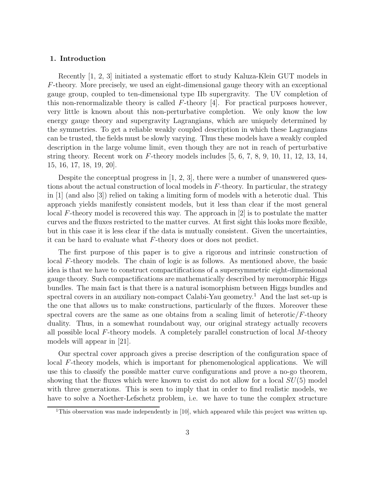#### 1. Introduction

Recently [1, 2, 3] initiated a systematic effort to study Kaluza-Klein GUT models in  $F$ -theory. More precisely, we used an eight-dimensional gauge theory with an exceptional gauge group, coupled to ten-dimensional type IIb supergravity. The UV completion of this non-renormalizable theory is called  $F$ -theory [4]. For practical purposes however, very little is known about this non-perturbative completion. We only know the low energy gauge theory and supergravity Lagrangians, which are uniquely determined by the symmetries. To get a reliable weakly coupled description in which these Lagrangians can be trusted, the fields must be slowly varying. Thus these models have a weakly coupled description in the large volume limit, even though they are not in reach of perturbative string theory. Recent work on  $F$ -theory models includes  $[5, 6, 7, 8, 9, 10, 11, 12, 13, 14,$ 15, 16, 17, 18, 19, 20].

Despite the conceptual progress in [1, 2, 3], there were a number of unanswered questions about the actual construction of local models in F-theory. In particular, the strategy in [1] (and also [3]) relied on taking a limiting form of models with a heterotic dual. This approach yields manifestly consistent models, but it less than clear if the most general local F-theory model is recovered this way. The approach in [2] is to postulate the matter curves and the fluxes restricted to the matter curves. At first sight this looks more flexible, but in this case it is less clear if the data is mutually consistent. Given the uncertainties, it can be hard to evaluate what F-theory does or does not predict.

The first purpose of this paper is to give a rigorous and intrinsic construction of local F-theory models. The chain of logic is as follows. As mentioned above, the basic idea is that we have to construct compactifications of a supersymmetric eight-dimensional gauge theory. Such compactifications are mathematically described by meromorphic Higgs bundles. The main fact is that there is a natural isomorphism between Higgs bundles and spectral covers in an auxiliary non-compact Calabi-Yau geometry.<sup>1</sup> And the last set-up is the one that allows us to make constructions, particularly of the fluxes. Moreover these spectral covers are the same as one obtains from a scaling limit of heterotic/ $F$ -theory duality. Thus, in a somewhat roundabout way, our original strategy actually recovers all possible local  $F$ -theory models. A completely parallel construction of local  $M$ -theory models will appear in [21].

Our spectral cover approach gives a precise description of the configuration space of local F-theory models, which is important for phenomenological applications. We will use this to classify the possible matter curve configurations and prove a no-go theorem, showing that the fluxes which were known to exist do not allow for a local  $SU(5)$  model with three generations. This is seen to imply that in order to find realistic models, we have to solve a Noether-Lefschetz problem, i.e. we have to tune the complex structure

<sup>&</sup>lt;sup>1</sup>This observation was made independently in  $[10]$ , which appeared while this project was written up.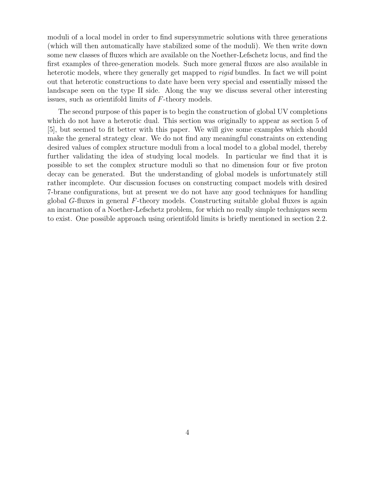moduli of a local model in order to find supersymmetric solutions with three generations (which will then automatically have stabilized some of the moduli). We then write down some new classes of fluxes which are available on the Noether-Lefschetz locus, and find the first examples of three-generation models. Such more general fluxes are also available in heterotic models, where they generally get mapped to *rigid* bundles. In fact we will point out that heterotic constructions to date have been very special and essentially missed the landscape seen on the type II side. Along the way we discuss several other interesting issues, such as orientifold limits of F-theory models.

The second purpose of this paper is to begin the construction of global UV completions which do not have a heterotic dual. This section was originally to appear as section 5 of [5], but seemed to fit better with this paper. We will give some examples which should make the general strategy clear. We do not find any meaningful constraints on extending desired values of complex structure moduli from a local model to a global model, thereby further validating the idea of studying local models. In particular we find that it is possible to set the complex structure moduli so that no dimension four or five proton decay can be generated. But the understanding of global models is unfortunately still rather incomplete. Our discussion focuses on constructing compact models with desired 7-brane configurations, but at present we do not have any good techniques for handling global G-fluxes in general F-theory models. Constructing suitable global fluxes is again an incarnation of a Noether-Lefschetz problem, for which no really simple techniques seem to exist. One possible approach using orientifold limits is briefly mentioned in section 2.2.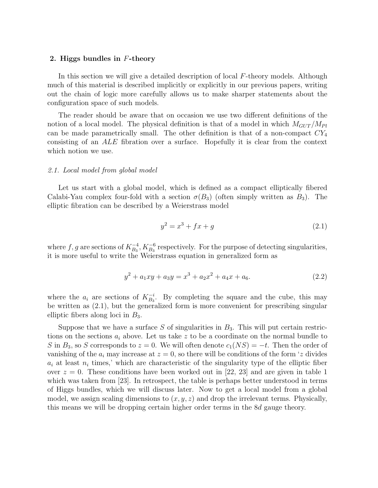## 2. Higgs bundles in F-theory

In this section we will give a detailed description of local F-theory models. Although much of this material is described implicitly or explicitly in our previous papers, writing out the chain of logic more carefully allows us to make sharper statements about the configuration space of such models.

The reader should be aware that on occasion we use two different definitions of the notion of a local model. The physical definition is that of a model in which  $M_{GUT}/M_{Pl}$ can be made parametrically small. The other definition is that of a non-compact  $CY_4$ consisting of an ALE fibration over a surface. Hopefully it is clear from the context which notion we use.

#### *2.1. Local model from global model*

Let us start with a global model, which is defined as a compact elliptically fibered Calabi-Yau complex four-fold with a section  $\sigma(B_3)$  (often simply written as  $B_3$ ). The elliptic fibration can be described by a Weierstrass model

$$
y^2 = x^3 + fx + g \tag{2.1}
$$

where f, g are sections of  $K_{B_3}^{-4}$ ,  $K_{B_3}^{-6}$  respectively. For the purpose of detecting singularities, it is more useful to write the Weierstrass equation in generalized form as

$$
y^2 + a_1xy + a_3y = x^3 + a_2x^2 + a_4x + a_6.
$$
 (2.2)

where the  $a_i$  are sections of  $K_{B_3}^{-i}$  $\mathbb{B}_3^{\text{-}i}$ . By completing the square and the cube, this may be written as (2.1), but the generalized form is more convenient for prescribing singular elliptic fibers along loci in  $B_3$ .

Suppose that we have a surface S of singularities in  $B_3$ . This will put certain restrictions on the sections  $a_i$  above. Let us take z to be a coordinate on the normal bundle to S in  $B_3$ , so S corresponds to  $z = 0$ . We will often denote  $c_1(NS) = -t$ . Then the order of vanishing of the  $a_i$  may increase at  $z = 0$ , so there will be conditions of the form 'z divides  $a_i$  at least  $n_i$  times,' which are characteristic of the singularity type of the elliptic fiber over  $z = 0$ . These conditions have been worked out in [22, 23] and are given in table 1 which was taken from [23]. In retrospect, the table is perhaps better understood in terms of Higgs bundles, which we will discuss later. Now to get a local model from a global model, we assign scaling dimensions to  $(x, y, z)$  and drop the irrelevant terms. Physically, this means we will be dropping certain higher order terms in the 8d gauge theory.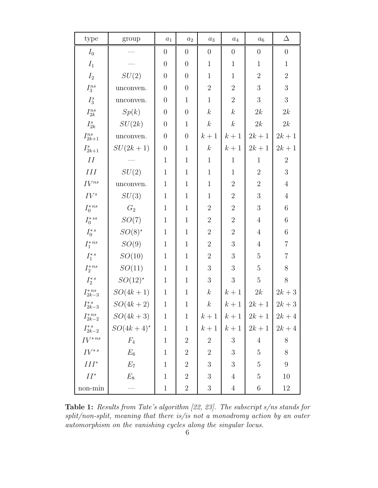| type                   | group           | $\boldsymbol{a}_1$ | $a_2$          | $\boldsymbol{a}_3$ | $\mathfrak{a}_4$ | $\boldsymbol{a_6}$ | Δ                |
|------------------------|-----------------|--------------------|----------------|--------------------|------------------|--------------------|------------------|
| $I_0$                  |                 | $\boldsymbol{0}$   | $\overline{0}$ | $\boldsymbol{0}$   | $\boldsymbol{0}$ | $\boldsymbol{0}$   | $\boldsymbol{0}$ |
| $I_1$                  |                 | $\boldsymbol{0}$   | $\overline{0}$ | $\mathbf{1}$       | $\mathbf{1}$     | $\mathbf{1}$       | $\mathbf{1}$     |
| $I_2$                  | SU(2)           | $\overline{0}$     | $\overline{0}$ | $\mathbf{1}$       | $\mathbf{1}$     | $\overline{2}$     | $\overline{2}$   |
| ${\cal I}_3^{ns}$      | unconven.       | $\boldsymbol{0}$   | $\overline{0}$ | $\overline{2}$     | $\overline{2}$   | 3                  | $\overline{3}$   |
| $I_3^s$                | unconven.       | $\boldsymbol{0}$   | $\mathbf{1}$   | $\mathbf{1}$       | $\overline{2}$   | 3                  | $\mathbf{3}$     |
| ${\cal I}_{2k}^{ns}$   | Sp(k)           | $\boldsymbol{0}$   | $\overline{0}$ | $\boldsymbol{k}$   | $\boldsymbol{k}$ | 2k                 | 2k               |
| $I^s_{2k}$             | SU(2k)          | $\boldsymbol{0}$   | $\mathbf{1}$   | $\boldsymbol{k}$   | $\boldsymbol{k}$ | 2k                 | 2k               |
| ${\cal I}^{ns}_{2k+1}$ | unconven.       | $\boldsymbol{0}$   | $\overline{0}$ | $k+1$              | $k+1$            | $2k+1$             | $2k + 1$         |
| $I_{2k+1}^s$           | $SU(2k+1)$      | $\boldsymbol{0}$   | $\mathbf{1}$   | $\boldsymbol{k}$   | $k+1$            | $2k+1$             | $2k+1$           |
| II                     |                 | $\mathbf{1}$       | $\mathbf{1}$   | $\mathbf{1}$       | $\mathbf{1}$     | $\mathbf{1}$       | $\sqrt{2}$       |
| $\cal III$             | SU(2)           | $\mathbf{1}$       | $\mathbf{1}$   | $\mathbf{1}$       | $\mathbf{1}$     | $\overline{2}$     | $\sqrt{3}$       |
| $IV^{ns}$              | unconven.       | $\mathbf{1}$       | $\mathbf{1}$   | $\mathbf{1}$       | $\overline{2}$   | $\overline{2}$     | $\sqrt{4}$       |
| $IV^s$                 | SU(3)           | $\mathbf{1}$       | $\mathbf{1}$   | $\mathbf{1}$       | $\sqrt{2}$       | $\mathfrak{Z}$     | $\sqrt{4}$       |
| $I_0^{\ast \, ns}$     | $\mathcal{G}_2$ | $\mathbf{1}$       | $\mathbf{1}$   | $\overline{2}$     | $\overline{2}$   | 3                  | $\,6$            |
| $I_0^{\ast \, ss}$     | SO(7)           | $\mathbf{1}$       | $\mathbf{1}$   | $\overline{2}$     | $\sqrt{2}$       | $\overline{4}$     | $\,6$            |
| $I^{*\,s}_0$           | $SO(8)$ *       | $\mathbf{1}$       | $\mathbf{1}$   | $\overline{2}$     | $\sqrt{2}$       | $\overline{4}$     | $\,6$            |
| $I_1^{\ast\,ns}$       | SO(9)           | $\,1$              | $\mathbf{1}$   | $\overline{2}$     | $\sqrt{3}$       | $\overline{4}$     | $\sqrt{ }$       |
| $I_1^{*s}$             | SO(10)          | $\mathbf{1}$       | $\mathbf{1}$   | $\overline{2}$     | $\mathfrak{Z}$   | $\overline{5}$     | $\sqrt{ }$       |
| $I_2^{\ast\,ns}$       | SO(11)          | $\mathbf{1}$       | $\mathbf{1}$   | $\mathfrak{Z}$     | $\mathfrak{Z}$   | $\overline{5}$     | 8                |
| $I_2^{\ast \, s}$      | $SO(12)^*$      | $\mathbf{1}$       | $\mathbf{1}$   | $\mathfrak{Z}$     | 3                | $\overline{5}$     | $8\,$            |
| $I_{2k-3}^{*ns}$       | $SO(4k+1)$      | $\mathbf{1}$       | $\mathbf{1}$   | $\boldsymbol{k}$   | $k+1$            | $2k$               | $2k+3$           |
| $I_{2k-3}^{*s}$        | $SO(4k + 2)$    | $\mathbf 1$        | $\,1$          | $\boldsymbol{k}$   | $k+1$            | $2k+1$             | $2k+3$           |
| $I_{2k-2}^{*ns}$       | $SO(4k+3)$      | $\mathbf{1}$       | $\mathbf{1}$   | $k+1$              | $k+1$            | $2k+1$             | $2k+4$           |
| $I_{2k-2}^{*s}$        | $SO(4k + 4)^*$  | $\mathbf{1}$       | $\mathbf{1}$   | $k+1$              | $k+1$            | $2k+1$             | $2k+4$           |
| $IV^{*ns}$             | $F_4$           | $\mathbf{1}$       | $\sqrt{2}$     | $\sqrt{2}$         | $\boldsymbol{3}$ | $\overline{4}$     | $8\,$            |
| $IV^{*s}$              | $\mathcal{E}_6$ | $\mathbf{1}$       | $\overline{2}$ | $\overline{2}$     | $\boldsymbol{3}$ | $\mathbf 5$        | $8\,$            |
| $III^*$                | $E_7$           | $\mathbf{1}$       | $\sqrt{2}$     | $\mathfrak{Z}$     | 3                | $\overline{5}$     | $\boldsymbol{9}$ |
| $II^*$                 | $E_8$           | $\mathbf{1}$       | $\overline{2}$ | $\mathfrak{Z}$     | $\overline{4}$   | $\mathbf 5$        | 10               |
| non-min                |                 | $\mathbf{1}$       | $\sqrt{2}$     | $\sqrt{3}$         | $\overline{4}$   | $\,6\,$            | 12               |

Table 1: *Results from Tate's algorithm [22, 23]. The subscript s/ns stands for split/non-split, meaning that there is/is not a monodromy action by an outer automorphism on the vanishing cycles along the singular locus.*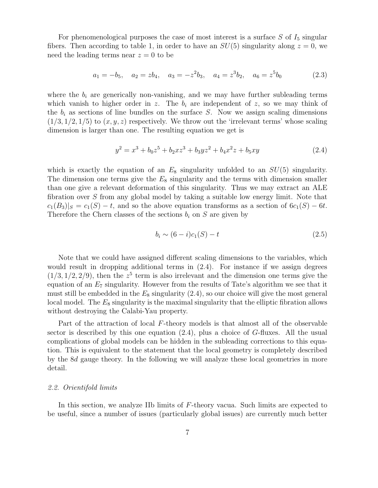For phenomenological purposes the case of most interest is a surface  $S$  of  $I_5$  singular fibers. Then according to table 1, in order to have an  $SU(5)$  singularity along  $z = 0$ , we need the leading terms near  $z = 0$  to be

$$
a_1 = -b_5
$$
,  $a_2 = zb_4$ ,  $a_3 = -z^2b_3$ ,  $a_4 = z^3b_2$ ,  $a_6 = z^5b_0$  (2.3)

where the  $b_i$  are generically non-vanishing, and we may have further subleading terms which vanish to higher order in z. The  $b_i$  are independent of z, so we may think of the  $b_i$  as sections of line bundles on the surface S. Now we assign scaling dimensions  $(1/3, 1/2, 1/5)$  to  $(x, y, z)$  respectively. We throw out the 'irrelevant terms' whose scaling dimension is larger than one. The resulting equation we get is

$$
y^2 = x^3 + b_0 z^5 + b_2 x z^3 + b_3 y z^2 + b_4 x^2 z + b_5 x y \tag{2.4}
$$

which is exactly the equation of an  $E_8$  singularity unfolded to an  $SU(5)$  singularity. The dimension one terms give the  $E_8$  singularity and the terms with dimension smaller than one give a relevant deformation of this singularity. Thus we may extract an ALE fibration over S from any global model by taking a suitable low energy limit. Note that  $c_1(B_3)|_S = c_1(S) - t$ , and so the above equation transforms as a section of  $6c_1(S) - 6t$ . Therefore the Chern classes of the sections  $b_i$  on S are given by

$$
b_i \sim (6-i)c_1(S) - t \tag{2.5}
$$

Note that we could have assigned different scaling dimensions to the variables, which would result in dropping additional terms in (2.4). For instance if we assign degrees  $(1/3, 1/2, 2/9)$ , then the  $z<sup>5</sup>$  term is also irrelevant and the dimension one terms give the equation of an  $E_7$  singularity. However from the results of Tate's algorithm we see that it must still be embedded in the  $E_8$  singularity  $(2.4)$ , so our choice will give the most general local model. The  $E_8$  singularity is the maximal singularity that the elliptic fibration allows without destroying the Calabi-Yau property.

Part of the attraction of local F-theory models is that almost all of the observable sector is described by this one equation  $(2.4)$ , plus a choice of G-fluxes. All the usual complications of global models can be hidden in the subleading corrections to this equation. This is equivalent to the statement that the local geometry is completely described by the 8d gauge theory. In the following we will analyze these local geometries in more detail.

#### *2.2. Orientifold limits*

In this section, we analyze IIb limits of F-theory vacua. Such limits are expected to be useful, since a number of issues (particularly global issues) are currently much better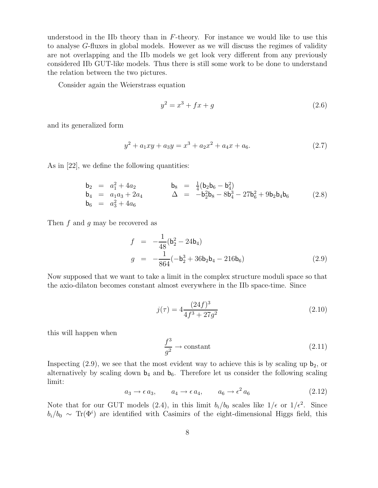understood in the IIb theory than in  $F$ -theory. For instance we would like to use this to analyse G-fluxes in global models. However as we will discuss the regimes of validity are not overlapping and the IIb models we get look very different from any previously considered IIb GUT-like models. Thus there is still some work to be done to understand the relation between the two pictures.

Consider again the Weierstrass equation

$$
y^2 = x^3 + fx + g \tag{2.6}
$$

and its generalized form

$$
y^2 + a_1xy + a_3y = x^3 + a_2x^2 + a_4x + a_6.
$$
 (2.7)

As in [22], we define the following quantities:

$$
b_2 = a_1^2 + 4a_2 \n b_4 = a_1a_3 + 2a_4 \n b_5 = a_3^2 + 4a_6
$$
\n
$$
b_6 = a_4^2 + 4a_6
$$
\n
$$
b_7 = a_1a_3 + 2a_4
$$
\n
$$
b_8 = \frac{1}{4}(b_2b_6 - b_4^2)
$$
\n
$$
b_8 = \frac{1}{4}(b_2b_6 - b_4^2)
$$
\n
$$
b_8 = \frac{1}{4}(b_2b_6 - b_4^2)
$$
\n
$$
b_8 = \frac{1}{4}(b_2b_6 - b_4^2)
$$
\n
$$
b_8 = \frac{1}{4}(b_2b_6 - b_4^2)
$$
\n
$$
b_8 = \frac{1}{4}(b_2b_6 - b_4^2)
$$
\n
$$
b_8 = \frac{1}{4}(b_2b_6 - b_4^2)
$$
\n
$$
b_8 = \frac{1}{4}(b_2b_6 - b_4^2)
$$
\n
$$
b_8 = \frac{1}{4}(b_2b_6 - b_4^2)
$$
\n
$$
b_8 = \frac{1}{4}(b_2b_6 - b_4^2)
$$
\n
$$
b_8 = \frac{1}{4}(b_2b_6 - b_4^2)
$$
\n
$$
b_8 = \frac{1}{4}(b_2b_6 - b_4^2)
$$
\n
$$
b_8 = \frac{1}{4}(b_2b_6 - b_4^2)
$$
\n
$$
b_8 = \frac{1}{4}(b_2b_6 - b_4^2)
$$
\n
$$
b_8 = \frac{1}{4}(b_2b_6 - b_4^2)
$$
\n
$$
b_8 = \frac{1}{4}(b_2b_6 - b_4^2)
$$
\n
$$
b_8 = \frac{1}{4}(b_2b_6 - b_4^2)
$$
\n
$$
b_8 = \frac{1}{4}(b_2b_6 - b_4^2)
$$
\n
$$
b_8 = \frac{1}{4}(b_2b_6 - b_4^2)
$$
\n
$$
b_8 = \frac{1}{4}(b_2b_6
$$

Then  $f$  and  $g$  may be recovered as

$$
f = -\frac{1}{48} (b_2^2 - 24b_4)
$$
  
\n
$$
g = -\frac{1}{864} (-b_2^3 + 36b_2b_4 - 216b_6)
$$
\n(2.9)

Now supposed that we want to take a limit in the complex structure moduli space so that the axio-dilaton becomes constant almost everywhere in the IIb space-time. Since

$$
j(\tau) = 4 \frac{(24f)^3}{4f^3 + 27g^2}
$$
\n(2.10)

this will happen when

$$
\frac{f^3}{g^2} \to \text{constant} \tag{2.11}
$$

Inspecting  $(2.9)$ , we see that the most evident way to achieve this is by scaling up  $b_2$ , or alternatively by scaling down  $b_4$  and  $b_6$ . Therefore let us consider the following scaling limit:

$$
a_3 \to \epsilon \, a_3, \qquad a_4 \to \epsilon \, a_4, \qquad a_6 \to \epsilon^2 \, a_6 \tag{2.12}
$$

Note that for our GUT models (2.4), in this limit  $b_i/b_0$  scales like  $1/\epsilon$  or  $1/\epsilon^2$ . Since  $b_i/b_0 \sim Tr(\Phi^i)$  are identified with Casimirs of the eight-dimensional Higgs field, this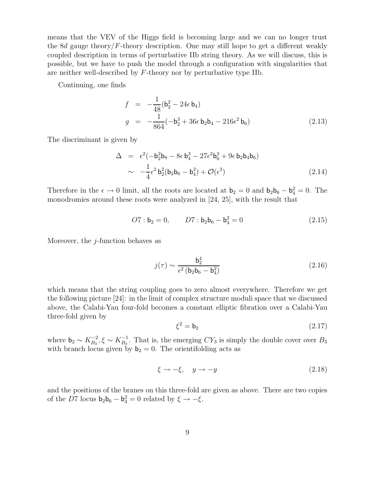means that the VEV of the Higgs field is becoming large and we can no longer trust the 8d gauge theory/ $F$ -theory description. One may still hope to get a different weakly coupled description in terms of perturbative IIb string theory. As we will discuss, this is possible, but we have to push the model through a configuration with singularities that are neither well-described by F-theory nor by perturbative type IIb.

Continuing, one finds

$$
f = -\frac{1}{48} (b_2^2 - 24\epsilon b_4)
$$
  
\n
$$
g = -\frac{1}{864} (-b_2^3 + 36\epsilon b_2 b_4 - 216\epsilon^2 b_6)
$$
\n(2.13)

The discriminant is given by

$$
\Delta = \epsilon^2 (-b_2^2 b_8 - 8\epsilon b_4^3 - 27\epsilon^2 b_6^2 + 9\epsilon b_2 b_4 b_6)
$$
  

$$
\sim -\frac{1}{4} \epsilon^2 b_2^2 (b_2 b_6 - b_4^2) + \mathcal{O}(\epsilon^3)
$$
(2.14)

Therefore in the  $\epsilon \to 0$  limit, all the roots are located at  $\mathbf{b}_2 = 0$  and  $\mathbf{b}_2 \mathbf{b}_6 - \mathbf{b}_4^2 = 0$ . The monodromies around these roots were analyzed in [24, 25], with the result that

$$
O7: \mathbf{b}_2 = 0, \qquad D7: \mathbf{b}_2 \mathbf{b}_6 - \mathbf{b}_4^2 = 0 \tag{2.15}
$$

Moreover, the  $j$ -function behaves as

$$
j(\tau) \sim \frac{\mathbf{b}_2^4}{\epsilon^2 \left(\mathbf{b}_2 \mathbf{b}_6 - \mathbf{b}_4^2\right)}\tag{2.16}
$$

which means that the string coupling goes to zero almost everywhere. Therefore we get the following picture [24]: in the limit of complex structure moduli space that we discussed above, the Calabi-Yau four-fold becomes a constant elliptic fibration over a Calabi-Yau three-fold given by

$$
\xi^2 = \mathsf{b}_2 \tag{2.17}
$$

where  $\mathbf{b}_2 \sim K_{B_3}^{-2}, \xi \sim K_{B_3}^{-1}$ . That is, the emerging  $CY_3$  is simply the double cover over  $B_3$ with branch locus given by  $b_2 = 0$ . The orientifolding acts as

$$
\xi \to -\xi, \quad y \to -y \tag{2.18}
$$

and the positions of the branes on this three-fold are given as above. There are two copies of the D7 locus  $\mathbf{b}_2 \mathbf{b}_6 - \mathbf{b}_4^2 = 0$  related by  $\xi \to -\xi$ .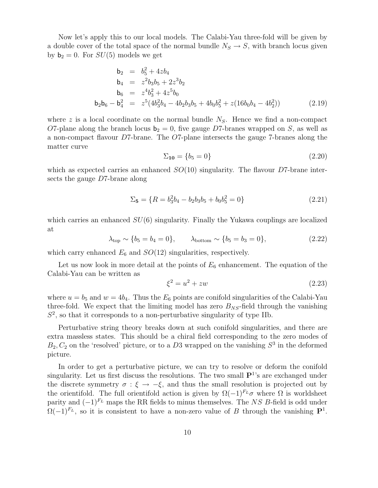Now let's apply this to our local models. The Calabi-Yau three-fold will be given by a double cover of the total space of the normal bundle  $N_S \rightarrow S$ , with branch locus given by  $b_2 = 0$ . For  $SU(5)$  models we get

$$
b_2 = b_5^2 + 4zb_4
$$
  
\n
$$
b_4 = z^2b_3b_5 + 2z^3b_2
$$
  
\n
$$
b_6 = z^4b_3^2 + 4z^5b_0
$$
  
\n
$$
b_2b_6 - b_4^2 = z^5(4b_3^2b_4 - 4b_2b_3b_5 + 4b_0b_5^2 + z(16b_0b_4 - 4b_2^2))
$$
 (2.19)

where z is a local coordinate on the normal bundle  $N<sub>S</sub>$ . Hence we find a non-compact O7-plane along the branch locus  $b_2 = 0$ , five gauge D7-branes wrapped on S, as well as a non-compact flavour D7-brane. The O7-plane intersects the gauge 7-branes along the matter curve

$$
\Sigma_{10} = \{b_5 = 0\} \tag{2.20}
$$

which as expected carries an enhanced  $SO(10)$  singularity. The flavour D7-brane intersects the gauge D7-brane along

$$
\Sigma_5 = \{ R = b_3^2 b_4 - b_2 b_3 b_5 + b_0 b_5^2 = 0 \}
$$
\n(2.21)

which carries an enhanced  $SU(6)$  singularity. Finally the Yukawa couplings are localized at

$$
\lambda_{\text{top}} \sim \{b_5 = b_4 = 0\}, \qquad \lambda_{\text{bottom}} \sim \{b_5 = b_3 = 0\},
$$
\n(2.22)

which carry enhanced  $E_6$  and  $SO(12)$  singularities, respectively.

Let us now look in more detail at the points of  $E_6$  enhancement. The equation of the Calabi-Yau can be written as

$$
\xi^2 = u^2 + zw \tag{2.23}
$$

where  $u = b_5$  and  $w = 4b_4$ . Thus the  $E_6$  points are conifold singularities of the Calabi-Yau three-fold. We expect that the limiting model has zero  $B_{NS}$ -field through the vanishing  $S<sup>2</sup>$ , so that it corresponds to a non-perturbative singularity of type IIb.

Perturbative string theory breaks down at such conifold singularities, and there are extra massless states. This should be a chiral field corresponding to the zero modes of  $B_2, C_2$  on the 'resolved' picture, or to a D3 wrapped on the vanishing  $S^3$  in the deformed picture.

In order to get a perturbative picture, we can try to resolve or deform the conifold singularity. Let us first discuss the resolutions. The two small  $\mathbf{P}^{1}$ 's are exchanged under the discrete symmetry  $\sigma : \xi \to -\xi$ , and thus the small resolution is projected out by the orientifold. The full orientifold action is given by  $\Omega(-1)^{F<sub>L</sub>}$  where  $\Omega$  is worldsheet parity and  $(-1)^{F_L}$  maps the RR fields to minus themselves. The NS B-field is odd under  $\Omega(-1)^{F_L}$ , so it is consistent to have a non-zero value of B through the vanishing  $\mathbf{P}^1$ .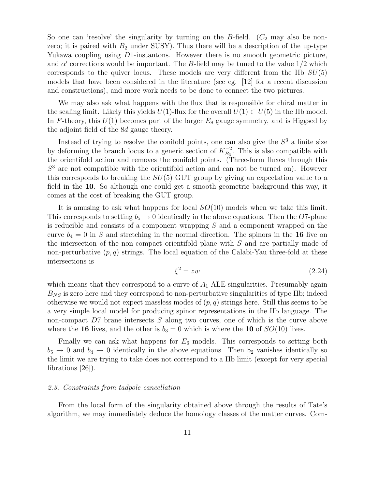So one can 'resolve' the singularity by turning on the  $B$ -field.  $(C_2$  may also be nonzero; it is paired with  $B_2$  under SUSY). Thus there will be a description of the up-type Yukawa coupling using D1-instantons. However there is no smooth geometric picture, and  $\alpha'$  corrections would be important. The B-field may be tuned to the value  $1/2$  which corresponds to the quiver locus. These models are very different from the IIb  $SU(5)$ models that have been considered in the literature (see eg. [12] for a recent discussion and constructions), and more work needs to be done to connect the two pictures.

We may also ask what happens with the flux that is responsible for chiral matter in the scaling limit. Likely this yields  $U(1)$ -flux for the overall  $U(1) \subset U(5)$  in the IIb model. In F-theory, this  $U(1)$  becomes part of the larger  $E_8$  gauge symmetry, and is Higgsed by the adjoint field of the 8d gauge theory.

Instead of trying to resolve the conifold points, one can also give the  $S<sup>3</sup>$  a finite size by deforming the branch locus to a generic section of  $K_{B_3}^{-2}$ . This is also compatible with the orientifold action and removes the conifold points. (Three-form fluxes through this  $S<sup>3</sup>$  are not compatible with the orientifold action and can not be turned on). However this corresponds to breaking the  $SU(5)$  GUT group by giving an expectation value to a field in the 10. So although one could get a smooth geometric background this way, it comes at the cost of breaking the GUT group.

It is amusing to ask what happens for local  $SO(10)$  models when we take this limit. This corresponds to setting  $b_5 \rightarrow 0$  identically in the above equations. Then the O7-plane is reducible and consists of a component wrapping S and a component wrapped on the curve  $b_4 = 0$  in S and stretching in the normal direction. The spinors in the 16 live on the intersection of the non-compact orientifold plane with S and are partially made of non-perturbative  $(p, q)$  strings. The local equation of the Calabi-Yau three-fold at these intersections is

$$
\xi^2 = zw \tag{2.24}
$$

which means that they correspond to a curve of  $A_1$  ALE singularities. Presumably again  $B_{NS}$  is zero here and they correspond to non-perturbative singularities of type IIb; indeed otherwise we would not expect massless modes of  $(p, q)$  strings here. Still this seems to be a very simple local model for producing spinor representations in the IIb language. The non-compact D7 brane intersects S along two curves, one of which is the curve above where the 16 lives, and the other is  $b_3 = 0$  which is where the 10 of  $SO(10)$  lives.

Finally we can ask what happens for  $E_6$  models. This corresponds to setting both  $b_5 \rightarrow 0$  and  $b_4 \rightarrow 0$  identically in the above equations. Then  $b_2$  vanishes identically so the limit we are trying to take does not correspond to a IIb limit (except for very special fibrations [26]).

## *2.3. Constraints from tadpole cancellation*

From the local form of the singularity obtained above through the results of Tate's algorithm, we may immediately deduce the homology classes of the matter curves. Com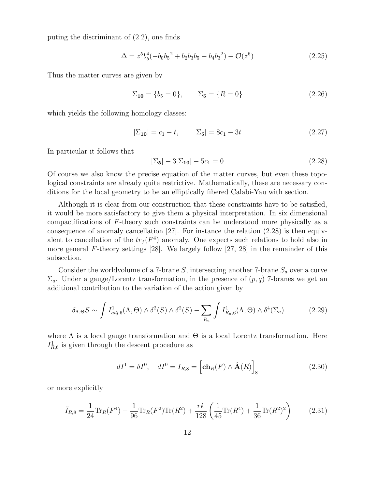puting the discriminant of (2.2), one finds

$$
\Delta = z^5 b_5^4 (-b_0 b_5^2 + b_2 b_3 b_5 - b_4 b_3^2) + \mathcal{O}(z^6)
$$
\n(2.25)

Thus the matter curves are given by

$$
\Sigma_{10} = \{b_5 = 0\}, \qquad \Sigma_5 = \{R = 0\} \tag{2.26}
$$

which yields the following homology classes:

$$
[\Sigma_{10}] = c_1 - t, \qquad [\Sigma_5] = 8c_1 - 3t \tag{2.27}
$$

In particular it follows that

$$
[\Sigma_5] - 3[\Sigma_{10}] - 5c_1 = 0 \tag{2.28}
$$

Of course we also know the precise equation of the matter curves, but even these topological constraints are already quite restrictive. Mathematically, these are necessary conditions for the local geometry to be an elliptically fibered Calabi-Yau with section.

Although it is clear from our construction that these constraints have to be satisfied, it would be more satisfactory to give them a physical interpretation. In six dimensional compactifications of F-theory such constraints can be understood more physically as a consequence of anomaly cancellation [27]. For instance the relation (2.28) is then equivalent to cancellation of the  $tr_f(F^4)$  anomaly. One expects such relations to hold also in more general F-theory settings [28]. We largely follow [27, 28] in the remainder of this subsection.

Consider the worldvolume of a 7-brane S, intersecting another 7-brane  $S_a$  over a curve  $\Sigma_a$ . Under a gauge/Lorentz transformation, in the presence of  $(p, q)$  7-branes we get an additional contribution to the variation of the action given by

$$
\delta_{\Lambda,\Theta} S \sim \int I_{adj,6}^1(\Lambda,\Theta) \wedge \delta^2(S) \wedge \delta^2(S) - \sum_{R_a} \int I_{R_a,6}^1(\Lambda,\Theta) \wedge \delta^4(\Sigma_a) \tag{2.29}
$$

where  $\Lambda$  is a local gauge transformation and  $\Theta$  is a local Lorentz transformation. Here  $I<sub>R,6</sub><sup>1</sup>$  is given through the descent procedure as

$$
dI^1 = \delta I^0, \quad dI^0 = I_{R,8} = \left[ \mathbf{ch}_R(F) \wedge \hat{\mathbf{A}}(R) \right]_8 \tag{2.30}
$$

or more explicitly

$$
\hat{I}_{R,8} = \frac{1}{24} \text{Tr}_R(F^4) - \frac{1}{96} \text{Tr}_R(F^2) \text{Tr}(R^2) + \frac{rk}{128} \left(\frac{1}{45} \text{Tr}(R^4) + \frac{1}{36} \text{Tr}(R^2)^2\right) \tag{2.31}
$$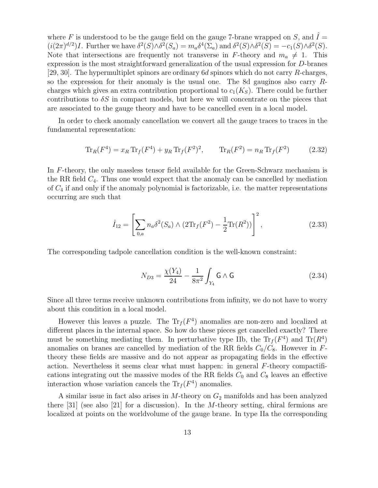where F is understood to be the gauge field on the gauge 7-brane wrapped on S, and  $\hat{I} =$  $(i(2\pi)^{d/2})I$ . Further we have  $\delta^2(S)\wedge \delta^2(S_a) = m_a \delta^4(\Sigma_a)$  and  $\delta^2(S)\wedge \delta^2(S) = -c_1(S)\wedge \delta^2(S)$ . Note that intersections are frequently not transverse in F-theory and  $m_a \neq 1$ . This expression is the most straightforward generalization of the usual expression for D-branes [29, 30]. The hypermultiplet spinors are ordinary  $6d$  spinors which do not carry R-charges, so the expression for their anomaly is the usual one. The 8d gauginos also carry Rcharges which gives an extra contribution proportional to  $c_1(K_S)$ . There could be further contributions to  $\delta S$  in compact models, but here we will concentrate on the pieces that are associated to the gauge theory and have to be cancelled even in a local model.

In order to check anomaly cancellation we convert all the gauge traces to traces in the fundamental representation:

$$
\operatorname{Tr}_R(F^4) = x_R \operatorname{Tr}_f(F^4) + y_R \operatorname{Tr}_f(F^2)^2, \qquad \operatorname{Tr}_R(F^2) = n_R \operatorname{Tr}_f(F^2) \tag{2.32}
$$

In F-theory, the only massless tensor field available for the Green-Schwarz mechanism is the RR field  $C_4$ . Thus one would expect that the anomaly can be cancelled by mediation of  $C_4$  if and only if the anomaly polynomial is factorizable, i.e. the matter representations occurring are such that

$$
\hat{I}_{12} = \left[ \sum_{0,a} n_a \delta^2(S_a) \wedge (2\text{Tr}_f(F^2) - \frac{1}{2} \text{Tr}(R^2)) \right]^2, \tag{2.33}
$$

The corresponding tadpole cancellation condition is the well-known constraint:

$$
N_{D3} = \frac{\chi(Y_4)}{24} - \frac{1}{8\pi^2} \int_{Y_4} \mathsf{G} \wedge \mathsf{G}
$$
 (2.34)

Since all three terms receive unknown contributions from infinity, we do not have to worry about this condition in a local model.

However this leaves a puzzle. The  $\text{Tr}_f(F^4)$  anomalies are non-zero and localized at different places in the internal space. So how do these pieces get cancelled exactly? There must be something mediating them. In perturbative type IIb, the  $\text{Tr}_f(F^4)$  and  $\text{Tr}(R^4)$ anomalies on branes are cancelled by mediation of the RR fields  $C_0/C_8$ . However in Ftheory these fields are massive and do not appear as propagating fields in the effective action. Nevertheless it seems clear what must happen: in general F-theory compactifications integrating out the massive modes of the RR fields  $C_0$  and  $C_8$  leaves an effective interaction whose variation cancels the  $\text{Tr}_f(F^4)$  anomalies.

A similar issue in fact also arises in  $M$ -theory on  $G_2$  manifolds and has been analyzed there  $[31]$  (see also  $[21]$  for a discussion). In the M-theory setting, chiral fermions are localized at points on the worldvolume of the gauge brane. In type IIa the corresponding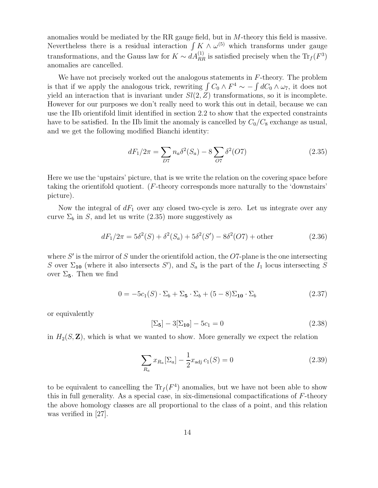anomalies would be mediated by the RR gauge field, but in M-theory this field is massive. Nevertheless there is a residual interaction  $\int K \wedge \omega^{(5)}$  which transforms under gauge transformations, and the Gauss law for  $K \sim dA_{RR}^{(1)}$  is satisfied precisely when the  $\text{Tr}_f(F^3)$ anomalies are cancelled.

We have not precisely worked out the analogous statements in  $F$ -theory. The problem is that if we apply the analogous trick, rewriting  $\int C_0 \wedge F^4 \sim -\int dC_0 \wedge \omega_7$ , it does not yield an interaction that is invariant under  $Sl(2, Z)$  transformations, so it is incomplete. However for our purposes we don't really need to work this out in detail, because we can use the IIb orientifold limit identified in section 2.2 to show that the expected constraints have to be satisfied. In the IIb limit the anomaly is cancelled by  $C_0/C_8$  exchange as usual, and we get the following modified Bianchi identity:

$$
dF_1/2\pi = \sum_{D7} n_a \delta^2(S_a) - 8 \sum_{O7} \delta^2(O7)
$$
 (2.35)

Here we use the 'upstairs' picture, that is we write the relation on the covering space before taking the orientifold quotient. (F-theory corresponds more naturally to the 'downstairs' picture).

Now the integral of  $dF_1$  over any closed two-cycle is zero. Let us integrate over any curve  $\Sigma_b$  in S, and let us write (2.35) more suggestively as

$$
dF_1/2\pi = 5\delta^2(S) + \delta^2(S_a) + 5\delta^2(S') - 8\delta^2(O7) + \text{other}
$$
 (2.36)

where  $S'$  is the mirror of S under the orientifold action, the O7-plane is the one intersecting S over  $\Sigma_{10}$  (where it also intersects S'), and  $S_a$  is the part of the  $I_1$  locus intersecting S over  $\Sigma_5$ . Then we find

$$
0 = -5c1(S) \cdot \Sigma_b + \Sigma_5 \cdot \Sigma_b + (5-8)\Sigma_{10} \cdot \Sigma_b \tag{2.37}
$$

or equivalently

$$
[\Sigma_5] - 3[\Sigma_{10}] - 5c_1 = 0 \tag{2.38}
$$

in  $H_2(S, \mathbf{Z})$ , which is what we wanted to show. More generally we expect the relation

$$
\sum_{R_a} x_{R_a} [\Sigma_a] - \frac{1}{2} x_{\text{adj}} c_1(S) = 0
$$
\n(2.39)

to be equivalent to cancelling the  $\text{Tr}_f(F^4)$  anomalies, but we have not been able to show this in full generality. As a special case, in six-dimensional compactifications of  $F$ -theory the above homology classes are all proportional to the class of a point, and this relation was verified in [27].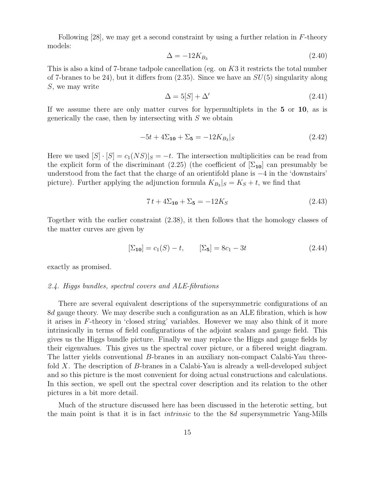Following [28], we may get a second constraint by using a further relation in F-theory models:

$$
\Delta = -12K_{B_3} \tag{2.40}
$$

This is also a kind of 7-brane tadpole cancellation (eg. on K3 it restricts the total number of 7-branes to be 24), but it differs from  $(2.35)$ . Since we have an  $SU(5)$  singularity along S, we may write

$$
\Delta = 5[S] + \Delta'
$$
\n(2.41)

If we assume there are only matter curves for hypermultiplets in the 5 or 10, as is generically the case, then by intersecting with  $S$  we obtain

$$
-5t + 4\Sigma_{10} + \Sigma_5 = -12K_{B_3}|_S \tag{2.42}
$$

Here we used  $[S] \cdot [S] = c_1(NS)|_S = -t$ . The intersection multiplicities can be read from the explicit form of the discriminant (2.25) (the coefficient of  $[\Sigma_{10}]$  can presumably be understood from the fact that the charge of an orientifold plane is −4 in the 'downstairs' picture). Further applying the adjunction formula  $K_{B_3}|_S = K_S + t$ , we find that

$$
7t + 4\Sigma_{10} + \Sigma_5 = -12K_S \tag{2.43}
$$

Together with the earlier constraint (2.38), it then follows that the homology classes of the matter curves are given by

$$
[\Sigma_{10}] = c_1(S) - t, \qquad [\Sigma_5] = 8c_1 - 3t \tag{2.44}
$$

exactly as promised.

#### *2.4. Higgs bundles, spectral covers and ALE-fibrations*

There are several equivalent descriptions of the supersymmetric configurations of an 8d gauge theory. We may describe such a configuration as an ALE fibration, which is how it arises in F-theory in 'closed string' variables. However we may also think of it more intrinsically in terms of field configurations of the adjoint scalars and gauge field. This gives us the Higgs bundle picture. Finally we may replace the Higgs and gauge fields by their eigenvalues. This gives us the spectral cover picture, or a fibered weight diagram. The latter yields conventional B-branes in an auxiliary non-compact Calabi-Yau threefold X. The description of B-branes in a Calabi-Yau is already a well-developed subject and so this picture is the most convenient for doing actual constructions and calculations. In this section, we spell out the spectral cover description and its relation to the other pictures in a bit more detail.

Much of the structure discussed here has been discussed in the heterotic setting, but the main point is that it is in fact *intrinsic* to the the 8d supersymmetric Yang-Mills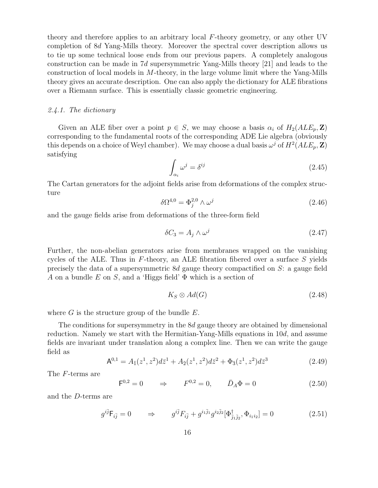theory and therefore applies to an arbitrary local F-theory geometry, or any other UV completion of 8d Yang-Mills theory. Moreover the spectral cover description allows us to tie up some technical loose ends from our previous papers. A completely analogous construction can be made in 7d supersymmetric Yang-Mills theory [21] and leads to the construction of local models in  $M$ -theory, in the large volume limit where the Yang-Mills theory gives an accurate description. One can also apply the dictionary for ALE fibrations over a Riemann surface. This is essentially classic geometric engineering.

## *2.4.1. The dictionary*

Given an ALE fiber over a point  $p \in S$ , we may choose a basis  $\alpha_i$  of  $H_2(ALE_p, \mathbf{Z})$ corresponding to the fundamental roots of the corresponding ADE Lie algebra (obviously this depends on a choice of Weyl chamber). We may choose a dual basis  $\omega^j$  of  $H^2(ALE_p, \mathbf{Z})$ satisfying

$$
\int_{\alpha_i} \omega^j = \delta^{ij} \tag{2.45}
$$

The Cartan generators for the adjoint fields arise from deformations of the complex structure

$$
\delta\Omega^{4,0} = \Phi_j^{2,0} \wedge \omega^j \tag{2.46}
$$

and the gauge fields arise from deformations of the three-form field

$$
\delta C_3 = A_j \wedge \omega^j \tag{2.47}
$$

Further, the non-abelian generators arise from membranes wrapped on the vanishing cycles of the ALE. Thus in  $F$ -theory, an ALE fibration fibered over a surface  $S$  yields precisely the data of a supersymmetric 8d gauge theory compactified on  $S$ : a gauge field A on a bundle E on S, and a 'Higgs field'  $\Phi$  which is a section of

$$
K_S \otimes Ad(G) \tag{2.48}
$$

where  $G$  is the structure group of the bundle  $E$ .

The conditions for supersymmetry in the 8d gauge theory are obtained by dimensional reduction. Namely we start with the Hermitian-Yang-Mills equations in 10d, and assume fields are invariant under translation along a complex line. Then we can write the gauge field as

$$
\mathsf{A}^{0,1} = A_{\bar{1}}(z^1, z^2) d\bar{z}^1 + A_{\bar{2}}(z^1, z^2) d\bar{z}^2 + \Phi_{\bar{3}}(z^1, z^2) d\bar{z}^3 \tag{2.49}
$$

The F-terms are

$$
F^{0,2} = 0
$$
  $\Rightarrow$   $F^{0,2} = 0$ ,  $\bar{D}_A \Phi = 0$  (2.50)

and the D-terms are

$$
g^{i\bar{j}}\mathsf{F}_{i\bar{j}} = 0 \qquad \Rightarrow \qquad g^{i\bar{j}}F_{i\bar{j}} + g^{i_1\bar{j}_1}g^{i_2\bar{j}_2}[\Phi^{\dagger}_{\bar{j}_1\bar{j}_2}, \Phi_{i_1i_2}] = 0 \tag{2.51}
$$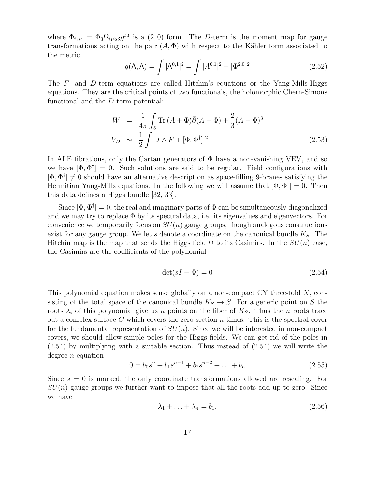where  $\Phi_{i_1 i_2} = \Phi_{\bar{3}} \Omega_{i_1 i_2 3} g^{3\bar{3}}$  is a (2,0) form. The D-term is the moment map for gauge transformations acting on the pair  $(A, \Phi)$  with respect to the Kähler form associated to the metric

$$
g(\mathbf{A}, \mathbf{A}) = \int |\mathbf{A}^{0,1}|^2 = \int |A^{0,1}|^2 + |\Phi^{2,0}|^2 \tag{2.52}
$$

The F- and D-term equations are called Hitchin's equations or the Yang-Mills-Higgs equations. They are the critical points of two functionals, the holomorphic Chern-Simons functional and the D-term potential:

$$
W = \frac{1}{4\pi} \int_{S} \text{Tr} (A + \Phi) \bar{\partial} (A + \Phi) + \frac{2}{3} (A + \Phi)^{3}
$$
  
\n
$$
V_D \sim \frac{1}{2} \int |J \wedge F + [\Phi, \Phi^{\dagger}]|^{2}
$$
\n(2.53)

In ALE fibrations, only the Cartan generators of  $\Phi$  have a non-vanishing VEV, and so we have  $[\Phi, \Phi^{\dagger}] = 0$ . Such solutions are said to be regular. Field configurations with  $[\Phi, \Phi^{\dagger}] \neq 0$  should have an alternative description as space-filling 9-branes satisfying the Hermitian Yang-Mills equations. In the following we will assume that  $[\Phi, \Phi^{\dagger}] = 0$ . Then this data defines a Higgs bundle [32, 33].

Since  $[\Phi, \Phi^{\dagger}] = 0$ , the real and imaginary parts of  $\Phi$  can be simultaneously diagonalized and we may try to replace  $\Phi$  by its spectral data, i.e. its eigenvalues and eigenvectors. For convenience we temporarily focus on  $SU(n)$  gauge groups, though analogous constructions exist for any gauge group. We let s denote a coordinate on the canonical bundle  $K_S$ . The Hitchin map is the map that sends the Higgs field  $\Phi$  to its Casimirs. In the  $SU(n)$  case, the Casimirs are the coefficients of the polynomial

$$
\det(sI - \Phi) = 0\tag{2.54}
$$

This polynomial equation makes sense globally on a non-compact CY three-fold X, consisting of the total space of the canonical bundle  $K_S \to S$ . For a generic point on S the roots  $\lambda_i$  of this polynomial give us n points on the fiber of  $K_S$ . Thus the n roots trace out a complex surface C which covers the zero section  $n$  times. This is the spectral cover for the fundamental representation of  $SU(n)$ . Since we will be interested in non-compact covers, we should allow simple poles for the Higgs fields. We can get rid of the poles in (2.54) by multiplying with a suitable section. Thus instead of (2.54) we will write the degree *n* equation

$$
0 = b_0 s^n + b_1 s^{n-1} + b_2 s^{n-2} + \dots + b_n \tag{2.55}
$$

Since  $s = 0$  is marked, the only coordinate transformations allowed are rescaling. For  $SU(n)$  gauge groups we further want to impose that all the roots add up to zero. Since we have

$$
\lambda_1 + \ldots + \lambda_n = b_1,\tag{2.56}
$$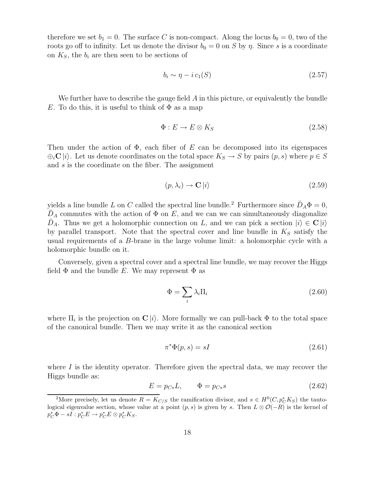therefore we set  $b_1 = 0$ . The surface C is non-compact. Along the locus  $b_0 = 0$ , two of the roots go off to infinity. Let us denote the divisor  $b_0 = 0$  on S by  $\eta$ . Since s is a coordinate on  $K<sub>S</sub>$ , the  $b<sub>i</sub>$  are then seen to be sections of

$$
b_i \sim \eta - i c_1(S) \tag{2.57}
$$

We further have to describe the gauge field  $A$  in this picture, or equivalently the bundle E. To do this, it is useful to think of  $\Phi$  as a map

$$
\Phi: E \to E \otimes K_S \tag{2.58}
$$

Then under the action of  $\Phi$ , each fiber of E can be decomposed into its eigenspaces  $\bigoplus_i \mathbb{C} |i\rangle$ . Let us denote coordinates on the total space  $K_S \to S$  by pairs  $(p, s)$  where  $p \in S$ and s is the coordinate on the fiber. The assignment

$$
(p, \lambda_i) \to \mathbf{C} \left| i \right\rangle \tag{2.59}
$$

yields a line bundle L on C called the spectral line bundle.<sup>2</sup> Furthermore since  $\bar{D}_A \Phi = 0$ ,  $\overline{D}_A$  commutes with the action of  $\Phi$  on  $E$ , and we can we can simultaneously diagonalize  $\bar{D}_A$ . Thus we get a holomorphic connection on L, and we can pick a section  $|i\rangle \in \mathbf{C} |i\rangle$ by parallel transport. Note that the spectral cover and line bundle in  $K<sub>S</sub>$  satisfy the usual requirements of a B-brane in the large volume limit: a holomorphic cycle with a holomorphic bundle on it.

Conversely, given a spectral cover and a spectral line bundle, we may recover the Higgs field  $\Phi$  and the bundle E. We may represent  $\Phi$  as

$$
\Phi = \sum_{i} \lambda_i \Pi_i \tag{2.60}
$$

where  $\Pi_i$  is the projection on  $\mathbf{C}\ket{i}$ . More formally we can pull-back  $\Phi$  to the total space of the canonical bundle. Then we may write it as the canonical section

$$
\pi^*\Phi(p,s) = sI \tag{2.61}
$$

where  $I$  is the identity operator. Therefore given the spectral data, we may recover the Higgs bundle as:

$$
E = p_{C*}L, \qquad \Phi = p_{C*}s \tag{2.62}
$$

<sup>&</sup>lt;sup>2</sup>More precisely, let us denote  $R = K_{C/S}$  the ramification divisor, and  $s \in H^0(C, p_C^* K_S)$  the tautological eigenvalue section, whose value at a point  $(p, s)$  is given by s. Then  $L \otimes \mathcal{O}(-R)$  is the kernel of  $p_C^*\Phi - s\overline{I}: p_C^*E \to p_C^*E \otimes p_C^*K_S.$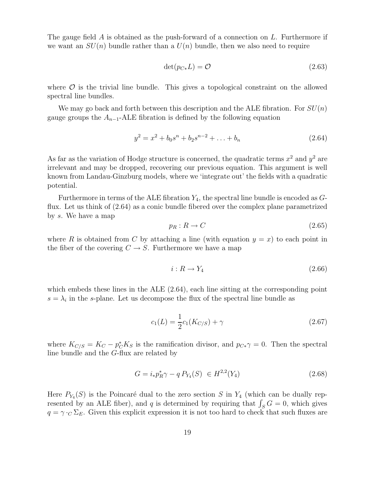The gauge field A is obtained as the push-forward of a connection on  $L$ . Furthermore if we want an  $SU(n)$  bundle rather than a  $U(n)$  bundle, then we also need to require

$$
\det(p_{C*}L) = \mathcal{O}
$$
\n(2.63)

where  $\mathcal O$  is the trivial line bundle. This gives a topological constraint on the allowed spectral line bundles.

We may go back and forth between this description and the ALE fibration. For  $SU(n)$ gauge groups the  $A_{n-1}$ -ALE fibration is defined by the following equation

$$
y^2 = x^2 + b_0 s^n + b_2 s^{n-2} + \dots + b_n \tag{2.64}
$$

As far as the variation of Hodge structure is concerned, the quadratic terms  $x^2$  and  $y^2$  are irrelevant and may be dropped, recovering our previous equation. This argument is well known from Landau-Ginzburg models, where we 'integrate out' the fields with a quadratic potential.

Furthermore in terms of the ALE fibration  $Y_4$ , the spectral line bundle is encoded as  $G$ flux. Let us think of (2.64) as a conic bundle fibered over the complex plane parametrized by s. We have a map

$$
p_R: R \to C \tag{2.65}
$$

where R is obtained from C by attaching a line (with equation  $y = x$ ) to each point in the fiber of the covering  $C \rightarrow S$ . Furthermore we have a map

$$
i: R \to Y_4 \tag{2.66}
$$

which embeds these lines in the ALE  $(2.64)$ , each line sitting at the corresponding point  $s = \lambda_i$  in the s-plane. Let us decompose the flux of the spectral line bundle as

$$
c_1(L) = \frac{1}{2}c_1(K_{C/S}) + \gamma
$$
\n(2.67)

where  $K_{C/S} = K_C - p_C^* K_S$  is the ramification divisor, and  $p_{C*}\gamma = 0$ . Then the spectral line bundle and the G-flux are related by

$$
G = i_* p_R^* \gamma - q P_{Y_4}(S) \in H^{2,2}(Y_4)
$$
\n(2.68)

Here  $P_{Y_4}(S)$  is the Poincaré dual to the zero section S in  $Y_4$  (which can be dually represented by an ALE fiber), and q is determined by requiring that  $\int_S G = 0$ , which gives  $q = \gamma \cdot_C \Sigma_E$ . Given this explicit expression it is not too hard to check that such fluxes are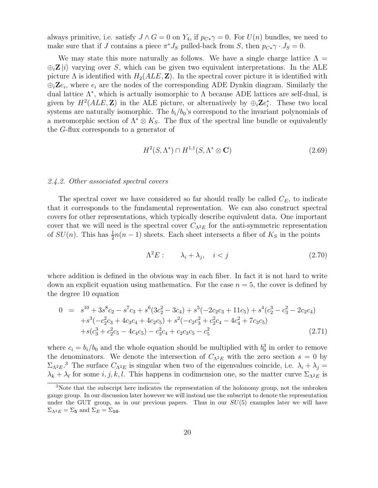always primitive, i.e. satisfy  $J \wedge G = 0$  on  $Y_4$ , if  $p_{C*} \gamma = 0$ . For  $U(n)$  bundles, we need to make sure that if J contains a piece  $\pi^* J_S$  pulled-back from S, then  $p_{C*} \gamma \cdot J_S = 0$ .

We may state this more naturally as follows. We have a single charge lattice  $\Lambda =$  $\oplus_i \mathbb{Z} |i\rangle$  varying over S, which can be given two equivalent interpretations. In the ALE picture  $\Lambda$  is identified with  $H_2(ALE, \mathbf{Z})$ . In the spectral cover picture it is identified with  $\oplus_i \mathbb{Z}e_i$ , where  $e_i$  are the nodes of the corresponding ADE Dynkin diagram. Similarly the dual lattice  $\Lambda^*$ , which is actually isomorphic to  $\Lambda$  because ADE lattices are self-dual, is given by  $H^2(ALE, \mathbf{Z})$  in the ALE picture, or alternatively by  $\bigoplus_i \mathbf{Z} e_i^*$ . These two local systems are naturally isomorphic. The  $b_i/b_0$ 's correspond to the invariant polynomials of a meromorphic section of  $\Lambda^* \otimes K_S$ . The flux of the spectral line bundle or equivalently the G-flux corresponds to a generator of

$$
H^2(S, \Lambda^*) \cap H^{1,1}(S, \Lambda^* \otimes \mathbf{C}) \tag{2.69}
$$

#### *2.4.2. Other associated spectral covers*

The spectral cover we have considered so far should really be called  $C_E$ , to indicate that it corresponds to the fundamental representation. We can also construct spectral covers for other representations, which typically describe equivalent data. One important cover that we will need is the spectral cover  $C_{\Lambda^2E}$  for the anti-symmetric representation of  $SU(n)$ . This has  $\frac{1}{2}n(n-1)$  sheets. Each sheet intersects a fiber of  $K_S$  in the points

$$
\Lambda^2 E: \qquad \lambda_i + \lambda_j, \quad i < j \tag{2.70}
$$

where addition is defined in the obvious way in each fiber. In fact it is not hard to write down an explicit equation using mathematica. For the case  $n = 5$ , the cover is defined by the degree 10 equation

$$
0 = s10 + 3s8c2 - s7c3 + s6(3c22 - 3c4) + s5(-2c2c3 + 11c5) + s4(c23 - c32 - 2c2c4)+ s3(-c22c3 + 4c3c4 + 4c2c5) + s2(-c2c32 + c22c4 - 4c42 + 7c3c5)+ s(c33 + c22c5 - 4c4c5) - c32c4 + c2c3c5 - c52
$$
\n(2.71)

where  $c_i = b_i/b_0$  and the whole equation should be multiplied with  $b_0$ <sup>3</sup> in order to remove the denominators. We denote the intersection of  $C_{\Lambda^2 E}$  with the zero section  $s = 0$  by  $\Sigma_{\Lambda^2 E}$ <sup>3</sup>. The surface  $C_{\Lambda^2 E}$  is singular when two of the eigenvalues coincide, i.e.  $\lambda_i + \lambda_j =$  $\lambda_k + \lambda_l$  for some  $i, j, k, l$ . This happens in codimension one, so the matter curve  $\Sigma_{\Lambda^2 E}$  is

<sup>&</sup>lt;sup>3</sup>Note that the subscript here indicates the representation of the holonomy group, not the unbroken gauge group. In our discussion later however we will instead use the subscript to denote the representation under the GUT group, as in our previous papers. Thus in our  $SU(5)$  examples later we will have  $\Sigma_{\Lambda^2 E} = \Sigma_5$  and  $\Sigma_E = \Sigma_{10}$ .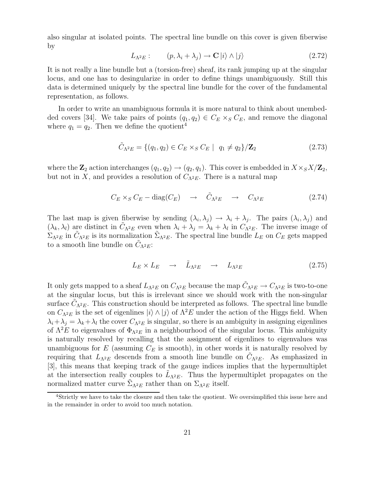also singular at isolated points. The spectral line bundle on this cover is given fiberwise by

$$
L_{\Lambda^2 E}: \qquad (p, \lambda_i + \lambda_j) \to \mathbf{C} \ket{i} \wedge \ket{j} \tag{2.72}
$$

It is not really a line bundle but a (torsion-free) sheaf, its rank jumping up at the singular locus, and one has to desingularize in order to define things unambiguously. Still this data is determined uniquely by the spectral line bundle for the cover of the fundamental representation, as follows.

In order to write an unambiguous formula it is more natural to think about unembedded covers [34]. We take pairs of points  $(q_1, q_2) \in C_E \times_S C_E$ , and remove the diagonal where  $q_1 = q_2$ . Then we define the quotient<sup>4</sup>

$$
\tilde{C}_{\Lambda^2 E} = \{ (q_1, q_2) \in C_E \times_S C_E \mid q_1 \neq q_2 \} / \mathbf{Z}_2 \tag{2.73}
$$

where the  $\mathbb{Z}_2$  action interchanges  $(q_1, q_2) \rightarrow (q_2, q_1)$ . This cover is embedded in  $X \times_S X/\mathbb{Z}_2$ , but not in X, and provides a resolution of  $C_{\Lambda^2 E}$ . There is a natural map

$$
C_E \times_S C_E - \text{diag}(C_E) \quad \to \quad \tilde{C}_{\Lambda^2 E} \quad \to \quad C_{\Lambda^2 E} \tag{2.74}
$$

The last map is given fiberwise by sending  $(\lambda_i, \lambda_j) \to \lambda_i + \lambda_j$ . The pairs  $(\lambda_i, \lambda_j)$  and  $(\lambda_k, \lambda_l)$  are distinct in  $\tilde{C}_{\Lambda^2 E}$  even when  $\lambda_i + \lambda_j = \lambda_k + \lambda_l$  in  $C_{\Lambda^2 E}$ . The inverse image of  $\Sigma_{\Lambda^2 E}$  in  $\tilde{C}_{\Lambda^2 E}$  is its normalization  $\tilde{\Sigma}_{\Lambda^2 E}$ . The spectral line bundle  $L_E$  on  $C_E$  gets mapped to a smooth line bundle on  $\tilde{C}_{\Lambda^2 E}$ :

$$
L_E \times L_E \quad \to \quad \tilde{L}_{\Lambda^2 E} \quad \to \quad L_{\Lambda^2 E} \tag{2.75}
$$

It only gets mapped to a sheaf  $L_{\Lambda^2 E}$  on  $C_{\Lambda^2 E}$  because the map  $\tilde{C}_{\Lambda^2 E} \to C_{\Lambda^2 E}$  is two-to-one at the singular locus, but this is irrelevant since we should work with the non-singular surface  $\tilde{C}_{\Lambda^2 E}$ . This construction should be interpreted as follows. The spectral line bundle on  $C_{\Lambda^2E}$  is the set of eigenlines  $|i\rangle \wedge |j\rangle$  of  $\Lambda^2E$  under the action of the Higgs field. When  $\lambda_i + \lambda_j = \lambda_k + \lambda_l$  the cover  $C_{\Lambda^2 E}$  is singular, so there is an ambiguity in assigning eigenlines of  $\Lambda^2 E$  to eigenvalues of  $\Phi_{\Lambda^2 E}$  in a neighbourhood of the singular locus. This ambiguity is naturally resolved by recalling that the assignment of eigenlines to eigenvalues was unambiguous for  $E$  (assuming  $C_E$  is smooth), in other words it is naturally resolved by requiring that  $L_{\Lambda^2 E}$  descends from a smooth line bundle on  $\tilde{C}_{\Lambda^2 E}$ . As emphasized in [3], this means that keeping track of the gauge indices implies that the hypermultiplet at the intersection really couples to  $\tilde{L}_{\Lambda^2 E}$ . Thus the hypermultiplet propagates on the normalized matter curve  $\tilde{\Sigma}_{\Lambda^2 E}$  rather than on  $\Sigma_{\Lambda^2 E}$  itself.

<sup>4</sup>Strictly we have to take the closure and then take the quotient. We oversimplified this issue here and in the remainder in order to avoid too much notation.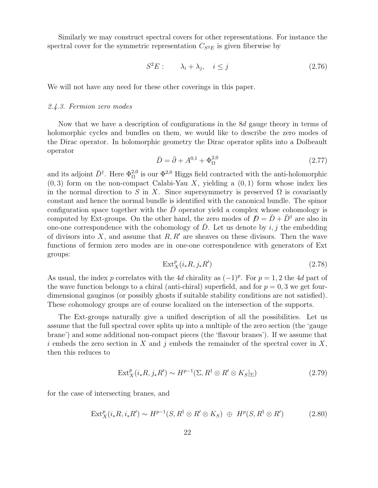Similarly we may construct spectral covers for other representations. For instance the spectral cover for the symmetric representation  $C_{S^2E}$  is given fiberwise by

$$
S^2 E: \qquad \lambda_i + \lambda_j, \quad i \le j \tag{2.76}
$$

We will not have any need for these other coverings in this paper.

#### *2.4.3. Fermion zero modes*

Now that we have a description of configurations in the 8d gauge theory in terms of holomorphic cycles and bundles on them, we would like to describe the zero modes of the Dirac operator. In holomorphic geometry the Dirac operator splits into a Dolbeault operator

$$
\bar{D} = \bar{\partial} + A^{0,1} + \Phi_{\Omega}^{2,0}
$$
\n(2.77)

and its adjoint  $\bar{D}^{\dagger}$ . Here  $\Phi_{\Omega}^{2,0}$  is our  $\Phi^{2,0}$  Higgs field contracted with the anti-holomorphic  $(0, 3)$  form on the non-compact Calabi-Yau X, yielding a  $(0, 1)$  form whose index lies in the normal direction to S in X. Since supersymmetry is preserved  $\Omega$  is covariantly constant and hence the normal bundle is identified with the canonical bundle. The spinor configuration space together with the  $D$  operator yield a complex whose cohomology is computed by Ext-groups. On the other hand, the zero modes of  $D = D + D^{\dagger}$  are also in one-one correspondence with the cohomology of D. Let us denote by i, j the embedding of divisors into X, and assume that  $R, R'$  are sheaves on these divisors. Then the wave functions of fermion zero modes are in one-one correspondence with generators of Ext groups:

$$
\operatorname{Ext}^p_X(i_*R, j_*R')\tag{2.78}
$$

As usual, the index p correlates with the 4d chirality as  $(-1)^p$ . For  $p = 1, 2$  the 4d part of the wave function belongs to a chiral (anti-chiral) superfield, and for  $p = 0, 3$  we get fourdimensional gauginos (or possibly ghosts if suitable stability conditions are not satisfied). These cohomology groups are of course localized on the intersection of the supports.

The Ext-groups naturally give a unified description of all the possibilities. Let us assume that the full spectral cover splits up into a multiple of the zero section (the 'gauge brane') and some additional non-compact pieces (the 'flavour branes'). If we assume that i embeds the zero section in X and j embeds the remainder of the spectral cover in  $X$ , then this reduces to

$$
\operatorname{Ext}^p_X(i_*R, j_*R') \sim H^{p-1}(\Sigma, R^\dagger \otimes R' \otimes K_S|_{\Sigma})
$$
\n(2.79)

for the case of intersecting branes, and

$$
\operatorname{Ext}^p_X(i_*R, i_*R') \sim H^{p-1}(S, R^{\dagger} \otimes R' \otimes K_S) \oplus H^p(S, R^{\dagger} \otimes R')
$$
 (2.80)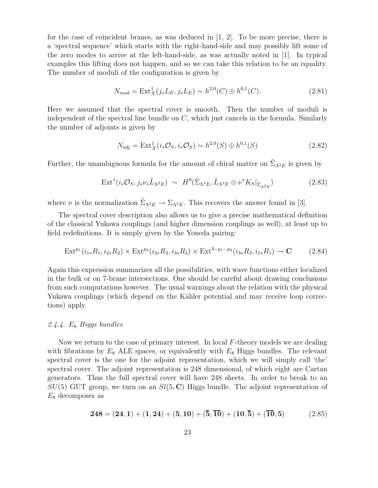for the case of coincident branes, as was deduced in [1, 2]. To be more precise, there is a 'spectral sequence' which starts with the right-hand-side and may possibly lift some of the zero modes to arrive at the left-hand-side, as was actually noted in [1]. In typical examples this lifting does not happen, and so we can take this relation to be an equality. The number of moduli of the configuration is given by

$$
N_{mod} = \text{Ext}_{X}^{1}(j_{*}L_{E}, j_{*}L_{E}) \sim h^{2,0}(C) \oplus h^{0,1}(C). \tag{2.81}
$$

Here we assumed that the spectral cover is smooth. Then the number of moduli is independent of the spectral line bundle on  $C$ , which just cancels in the formula. Similarly the number of adjoints is given by

$$
N_{adj} = \text{Ext}^{1}_{X}(i_{*}\mathcal{O}_{S}, i_{*}\mathcal{O}_{S}) \sim h^{2,0}(S) \oplus h^{0,1}(S)
$$
\n(2.82)

Further, the unambiguous formula for the amount of chiral matter on  $\tilde{\Sigma}_{\Lambda^2 E}$  is given by

$$
\operatorname{Ext}^1(i_*\mathcal{O}_S, j_*\nu_*\tilde{L}_{\Lambda^2 E}) \sim H^0(\tilde{\Sigma}_{\Lambda^2 E}, \tilde{L}_{\Lambda^2 E} \otimes \nu^*K_S|_{\tilde{\Sigma}_{\Lambda^2 E}}) \tag{2.83}
$$

where  $\nu$  is the normalization  $\tilde{\Sigma}_{\Lambda^2 E} \to \Sigma_{\Lambda^2 E}$ . This recovers the answer found in [3].

The spectral cover description also allows us to give a precise mathematical definition of the classical Yukawa couplings (and higher dimension couplings as well), at least up to field redefinitions. It is simply given by the Yoneda pairing:

$$
\operatorname{Ext}^{p_1}(i_{1*}R_1, i_{2*}R_2) \times \operatorname{Ext}^{p_2}(i_{2*}R_2, i_{3*}R_3) \times \operatorname{Ext}^{3-p_1-p_2}(i_{3*}R_3, i_{1*}R_1) \to \mathbf{C}
$$
 (2.84)

Again this expression summarizes all the possibilities, with wave functions either localized in the bulk or on 7-brane intersections. One should be careful about drawing conclusions from such computations however. The usual warnings about the relation with the physical Yukawa couplings (which depend on the Kähler potential and may receive loop corrections) apply.

### *2.4.4.* E<sup>8</sup> *Higgs bundles*

Now we return to the case of primary interest. In local F-theory models we are dealing with fibrations by  $E_8$  ALE spaces, or equivalently with  $E_8$  Higgs bundles. The relevant spectral cover is the one for the adjoint representation, which we will simply call 'the' spectral cover. The adjoint representation is 248 dimensional, of which eight are Cartan generators. Thus the full spectral cover will have 248 sheets. In order to break to an  $SU(5)$  GUT group, we turn on an  $Sl(5, \mathbb{C})$  Higgs bundle. The adjoint representation of  $E_8$  decomposes as

$$
248 = (24, 1) + (1, 24) + (5, 10) + (\overline{5}, \overline{10}) + (10, \overline{5}) + (\overline{10}, 5) \tag{2.85}
$$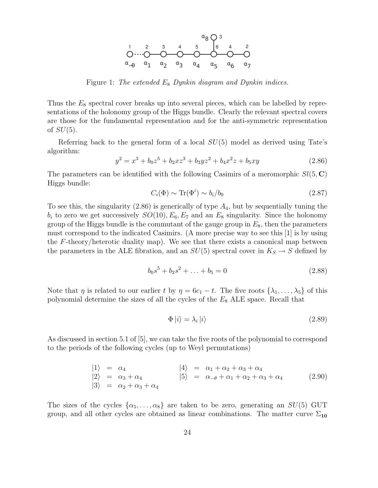

Figure 1: *The extended* E<sup>8</sup> *Dynkin diagram and Dynkin indices.*

Thus the  $E_8$  spectral cover breaks up into several pieces, which can be labelled by representations of the holonomy group of the Higgs bundle. Clearly the relevant spectral covers are those for the fundamental representation and for the anti-symmetric representation of  $SU(5)$ .

Referring back to the general form of a local  $SU(5)$  model as derived using Tate's algorithm:

$$
y^2 = x^3 + b_0 z^5 + b_2 x z^3 + b_3 y z^2 + b_4 x^2 z + b_5 x y \tag{2.86}
$$

The parameters can be identified with the following Casimirs of a meromorphic  $Sl(5, \mathbb{C})$ Higgs bundle:

$$
C_i(\Phi) \sim \text{Tr}(\Phi^i) \sim b_i/b_0 \tag{2.87}
$$

To see this, the singularity  $(2.86)$  is generically of type  $A_4$ , but by sequentially tuning the  $b_i$  to zero we get successively  $SO(10), E_6, E_7$  and an  $E_8$  singularity. Since the holonomy group of the Higgs bundle is the commutant of the gauge group in  $E_8$ , then the parameters must correspond to the indicated Casimirs. (A more precise way to see this [1] is by using the  $F$ -theory/heterotic duality map). We see that there exists a canonical map between the parameters in the ALE fibration, and an  $SU(5)$  spectral cover in  $K_S \to S$  defined by

$$
b_0s^5 + b_2s^2 + \ldots + b_5 = 0 \tag{2.88}
$$

Note that  $\eta$  is related to our earlier t by  $\eta = 6c_1 - t$ . The five roots  $\{\lambda_1, \ldots, \lambda_5\}$  of this polynomial determine the sizes of all the cycles of the  $E_8$  ALE space. Recall that

$$
\Phi|i\rangle = \lambda_i|i\rangle \tag{2.89}
$$

As discussed in section 5.1 of [5], we can take the five roots of the polynomial to correspond to the periods of the following cycles (up to Weyl permutations)

$$
\begin{array}{rcl}\n\vert 1 \rangle & = & \alpha_4 \\
\vert 2 \rangle & = & \alpha_3 + \alpha_4 \\
\vert 3 \rangle & = & \alpha_2 + \alpha_3 + \alpha_4 \\
\vert 3 \rangle & = & \alpha_2 + \alpha_3 + \alpha_4\n\end{array}\n\qquad\n\begin{array}{rcl}\n\vert 4 \rangle & = & \alpha_1 + \alpha_2 + \alpha_3 + \alpha_4 \\
\vert 5 \rangle & = & \alpha_{-\theta} + \alpha_1 + \alpha_2 + \alpha_3 + \alpha_4\n\end{array}\n\tag{2.90}
$$

The sizes of the cycles  $\{\alpha_5, \ldots, \alpha_8\}$  are taken to be zero, generating an  $SU(5)$  GUT group, and all other cycles are obtained as linear combinations. The matter curve  $\Sigma_{10}$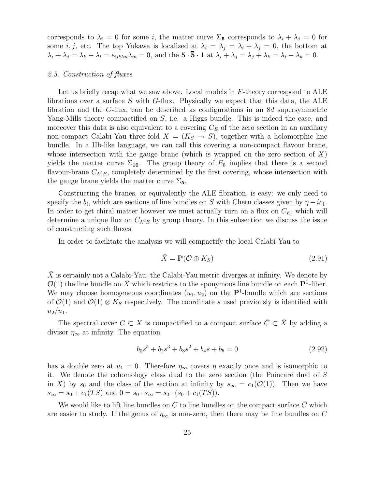corresponds to  $\lambda_i = 0$  for some i, the matter curve  $\Sigma_5$  corresponds to  $\lambda_i + \lambda_j = 0$  for some *i*, *j*, etc. The top Yukawa is localized at  $\lambda_i = \lambda_j = \lambda_i + \lambda_j = 0$ , the bottom at  $\lambda_i + \lambda_j = \lambda_k + \lambda_l = \epsilon_{ijklm}\lambda_m = 0$ , and the  $\mathbf{5} \cdot \mathbf{\bar{5}} \cdot \mathbf{1}$  at  $\lambda_i + \lambda_j = \lambda_j + \lambda_k = \lambda_i - \lambda_k = 0$ .

## *2.5. Construction of fluxes*

Let us briefly recap what we saw above. Local models in  $F$ -theory correspond to ALE fibrations over a surface  $S$  with  $G$ -flux. Physically we expect that this data, the ALE fibration and the G-flux, can be described as configurations in an 8d supersymmetric Yang-Mills theory compactified on S, i.e. a Higgs bundle. This is indeed the case, and moreover this data is also equivalent to a covering  $C_E$  of the zero section in an auxiliary non-compact Calabi-Yau three-fold  $X = (K_S \rightarrow S)$ , together with a holomorphic line bundle. In a IIb-like language, we can call this covering a non-compact flavour brane, whose intersection with the gauge brane (which is wrapped on the zero section of  $X$ ) yields the matter curve  $\Sigma_{10}$ . The group theory of  $E_8$  implies that there is a second flavour-brane  $C_{\Lambda^2 E}$ , completely determined by the first covering, whose intersection with the gauge brane yields the matter curve  $\Sigma_5$ .

Constructing the branes, or equivalently the ALE fibration, is easy: we only need to specify the  $b_i$ , which are sections of line bundles on S with Chern classes given by  $\eta - ic_1$ . In order to get chiral matter however we must actually turn on a flux on  $C_E$ , which will determine a unique flux on  $C_{\Lambda^2 E}$  by group theory. In this subsection we discuss the issue of constructing such fluxes.

In order to facilitate the analysis we will compactify the local Calabi-Yau to

$$
\bar{X} = \mathbf{P}(\mathcal{O} \oplus K_S) \tag{2.91}
$$

 $X$  is certainly not a Calabi-Yau; the Calabi-Yau metric diverges at infinity. We denote by  $\mathcal{O}(1)$  the line bundle on  $\bar{X}$  which restricts to the eponymous line bundle on each P<sup>1</sup>-fiber. We may choose homogeneous coordinates  $(u_1, u_2)$  on the  $\mathbf{P}^1$ -bundle which are sections of  $\mathcal{O}(1)$  and  $\mathcal{O}(1) \otimes K_S$  respectively. The coordinate s used previously is identified with  $u_2/u_1$ .

The spectral cover  $C \subset X$  is compactified to a compact surface  $\overline{C} \subset \overline{X}$  by adding a divisor  $\eta_{\infty}$  at infinity. The equation

$$
b_0s^5 + b_2s^3 + b_3s^2 + b_4s + b_5 = 0
$$
\n(2.92)

has a double zero at  $u_1 = 0$ . Therefore  $\eta_{\infty}$  covers  $\eta$  exactly once and is isomorphic to it. We denote the cohomology class dual to the zero section (the Poincaré dual of  $S$ in X) by s<sub>0</sub> and the class of the section at infinity by  $s_{\infty} = c_1(\mathcal{O}(1))$ . Then we have  $s_{\infty} = s_0 + c_1(TS)$  and  $0 = s_0 \cdot s_{\infty} = s_0 \cdot (s_0 + c_1(TS)).$ 

We would like to lift line bundles on  $C$  to line bundles on the compact surface  $C$  which are easier to study. If the genus of  $\eta_{\infty}$  is non-zero, then there may be line bundles on C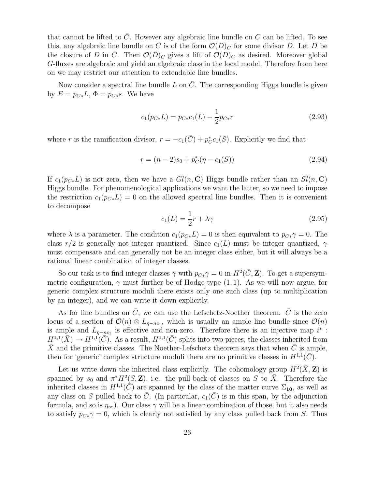that cannot be lifted to  $\overline{C}$ . However any algebraic line bundle on  $C$  can be lifted. To see this, any algebraic line bundle on C is of the form  $\mathcal{O}(D)_C$  for some divisor D. Let D be the closure of D in  $\overline{C}$ . Then  $\mathcal{O}(\overline{D})_{\overline{C}}$  gives a lift of  $\mathcal{O}(D)_{C}$  as desired. Moreover global G-fluxes are algebraic and yield an algebraic class in the local model. Therefore from here on we may restrict our attention to extendable line bundles.

Now consider a spectral line bundle L on  $\overline{C}$ . The corresponding Higgs bundle is given by  $E = p_{C*}L$ ,  $\Phi = p_{C*}s$ . We have

$$
c_1(p_{C*}L) = p_{C*}c_1(L) - \frac{1}{2}p_{C*}r
$$
\n(2.93)

where r is the ramification divisor,  $r = -c_1(\bar{C}) + p_C^*c_1(S)$ . Explicitly we find that

$$
r = (n-2)s_0 + p_C^*(\eta - c_1(S))
$$
\n(2.94)

If  $c_1(p_{C*}L)$  is not zero, then we have a  $Gl(n, \mathbf{C})$  Higgs bundle rather than an  $Sl(n, \mathbf{C})$ Higgs bundle. For phenomenological applications we want the latter, so we need to impose the restriction  $c_1(p_{C*}L) = 0$  on the allowed spectral line bundles. Then it is convenient to decompose

$$
c_1(L) = \frac{1}{2}r + \lambda\gamma\tag{2.95}
$$

where  $\lambda$  is a parameter. The condition  $c_1(p_{C*}L) = 0$  is then equivalent to  $p_{C*}\gamma = 0$ . The class  $r/2$  is generally not integer quantized. Since  $c_1(L)$  must be integer quantized,  $\gamma$ must compensate and can generally not be an integer class either, but it will always be a rational linear combination of integer classes.

So our task is to find integer classes  $\gamma$  with  $p_{C*}\gamma = 0$  in  $H^2(\bar{C}, \mathbf{Z})$ . To get a supersymmetric configuration,  $\gamma$  must further be of Hodge type (1, 1). As we will now argue, for generic complex structure moduli there exists only one such class (up to multiplication by an integer), and we can write it down explicitly.

As for line bundles on  $\bar{C}$ , we can use the Lefschetz-Noether theorem.  $\bar{C}$  is the zero locus of a section of  $\mathcal{O}(n) \otimes L_{\eta-nc_1}$ , which is usually an ample line bundle since  $\mathcal{O}(n)$ is ample and  $L_{\eta-nc_1}$  is effective and non-zero. Therefore there is an injective map  $i^*$ :  $H^{1,1}(\bar{X}) \to H^{1,1}(\bar{C})$ . As a result,  $H^{1,1}(\bar{C})$  splits into two pieces, the classes inherited from  $\bar{X}$  and the primitive classes. The Noether-Lefschetz theorem says that when  $\bar{C}$  is ample, then for 'generic' complex structure moduli there are no primitive classes in  $H^{1,1}(\overline{C})$ .

Let us write down the inherited class explicitly. The cohomology group  $H^2(\bar{X}, \mathbf{Z})$  is spanned by  $s_0$  and  $\pi^* H^2(S, \mathbb{Z})$ , i.e. the pull-back of classes on S to  $\overline{X}$ . Therefore the inherited classes in  $H^{1,1}(\tilde{C})$  are spanned by the class of the matter curve  $\Sigma_{10}$ , as well as any class on S pulled back to  $\overline{C}$ . (In particular,  $c_1(\overline{C})$  is in this span, by the adjunction formula, and so is  $\eta_{\infty}$ ). Our class  $\gamma$  will be a linear combination of those, but it also needs to satisfy  $p_{C*}\gamma = 0$ , which is clearly not satisfied by any class pulled back from S. Thus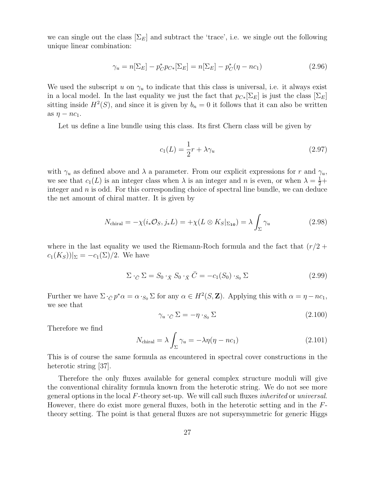we can single out the class  $[\Sigma_E]$  and subtract the 'trace', i.e. we single out the following unique linear combination:

$$
\gamma_u = n[\Sigma_E] - p_C^* p_{C*}[\Sigma_E] = n[\Sigma_E] - p_C^* (\eta - n c_1)
$$
\n(2.96)

We used the subscript u on  $\gamma_u$  to indicate that this class is universal, i.e. it always exist in a local model. In the last equality we just the fact that  $p_{C*}[\Sigma_E]$  is just the class  $[\Sigma_E]$ sitting inside  $H^2(S)$ , and since it is given by  $b_n = 0$  it follows that it can also be written as  $\eta - nc_1$ .

Let us define a line bundle using this class. Its first Chern class will be given by

$$
c_1(L) = \frac{1}{2}r + \lambda \gamma_u \tag{2.97}
$$

with  $\gamma_u$  as defined above and  $\lambda$  a parameter. From our explicit expressions for r and  $\gamma_u$ , we see that  $c_1(L)$  is an integer class when  $\lambda$  is an integer and n is even, or when  $\lambda = \frac{1}{2} +$ integer and  $n$  is odd. For this corresponding choice of spectral line bundle, we can deduce the net amount of chiral matter. It is given by

$$
N_{\text{chiral}} = -\chi(i_* \mathcal{O}_S, j_* L) = +\chi(L \otimes K_S|_{\Sigma_{10}}) = \lambda \int_{\Sigma} \gamma_u \tag{2.98}
$$

where in the last equality we used the Riemann-Roch formula and the fact that  $(r/2 +$  $c_1(K_S))|_{\Sigma} = -c_1(\Sigma)/2$ . We have

$$
\Sigma \cdot_{\bar{C}} \Sigma = S_0 \cdot_{\bar{X}} S_0 \cdot_{\bar{X}} \bar{C} = -c_1(S_0) \cdot_{S_0} \Sigma
$$
\n(2.99)

Further we have  $\Sigma \cdot_{\bar{C}} p^* \alpha = \alpha \cdot_{S_0} \Sigma$  for any  $\alpha \in H^2(S, \mathbb{Z})$ . Applying this with  $\alpha = \eta - nc_1$ , we see that

$$
\gamma_u \cdot_{\bar{C}} \Sigma = -\eta \cdot_{S_0} \Sigma \tag{2.100}
$$

Therefore we find

$$
N_{\text{chiral}} = \lambda \int_{\Sigma} \gamma_u = -\lambda \eta (\eta - nc_1) \tag{2.101}
$$

This is of course the same formula as encountered in spectral cover constructions in the heterotic string [37].

Therefore the only fluxes available for general complex structure moduli will give the conventional chirality formula known from the heterotic string. We do not see more general options in the local F-theory set-up. We will call such fluxes *inherited* or *universal*. However, there do exist more general fluxes, both in the heterotic setting and in the Ftheory setting. The point is that general fluxes are not supersymmetric for generic Higgs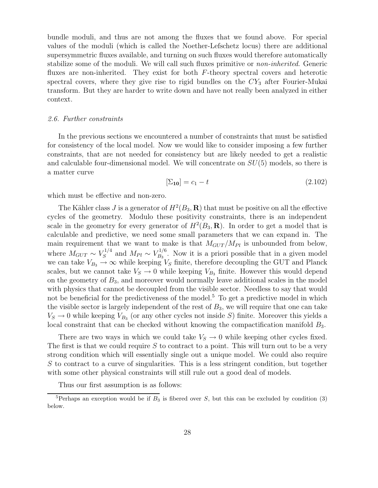bundle moduli, and thus are not among the fluxes that we found above. For special values of the moduli (which is called the Noether-Lefschetz locus) there are additional supersymmetric fluxes available, and turning on such fluxes would therefore automatically stabilize some of the moduli. We will call such fluxes primitive or *non-inherited*. Generic fluxes are non-inherited. They exist for both F-theory spectral covers and heterotic spectral covers, where they give rise to rigid bundles on the  $CY_3$  after Fourier-Mukai transform. But they are harder to write down and have not really been analyzed in either context.

## *2.6. Further constraints*

In the previous sections we encountered a number of constraints that must be satisfied for consistency of the local model. Now we would like to consider imposing a few further constraints, that are not needed for consistency but are likely needed to get a realistic and calculable four-dimensional model. We will concentrate on  $SU(5)$  models, so there is a matter curve

$$
[\Sigma_{10}] = c_1 - t \tag{2.102}
$$

which must be effective and non-zero.

The Kähler class J is a generator of  $H^2(B_3, \mathbf{R})$  that must be positive on all the effective cycles of the geometry. Modulo these positivity constraints, there is an independent scale in the geometry for every generator of  $H^2(B_3, \mathbf{R})$ . In order to get a model that is calculable and predictive, we need some small parameters that we can expand in. The main requirement that we want to make is that  $M_{GUT}/M_{Pl}$  is unbounded from below, where  $M_{GUT} \sim V_S^{1/4}$  $\frac{S^{1/4}}{S}$  and  $M_{Pl} \sim V_{B_3}^{1/6}$  $B_3^{1/6}$ . Now it is a priori possible that in a given model we can take  $V_{B_3} \to \infty$  while keeping  $V_S$  finite, therefore decoupling the GUT and Planck scales, but we cannot take  $V_S \rightarrow 0$  while keeping  $V_{B_3}$  finite. However this would depend on the geometry of  $B_3$ , and moreover would normally leave additional scales in the model with physics that cannot be decoupled from the visible sector. Needless to say that would not be beneficial for the predictiveness of the model.<sup>5</sup> To get a predictive model in which the visible sector is largely independent of the rest of  $B_3$ , we will require that one can take  $V_S \to 0$  while keeping  $V_{B_3}$  (or any other cycles not inside S) finite. Moreover this yields a local constraint that can be checked without knowing the compactification manifold  $B_3$ .

There are two ways in which we could take  $V_S \rightarrow 0$  while keeping other cycles fixed. The first is that we could require  $S$  to contract to a point. This will turn out to be a very strong condition which will essentially single out a unique model. We could also require S to contract to a curve of singularities. This is a less stringent condition, but together with some other physical constraints will still rule out a good deal of models.

Thus our first assumption is as follows:

<sup>&</sup>lt;sup>5</sup>Perhaps an exception would be if  $B_3$  is fibered over S, but this can be excluded by condition (3) below.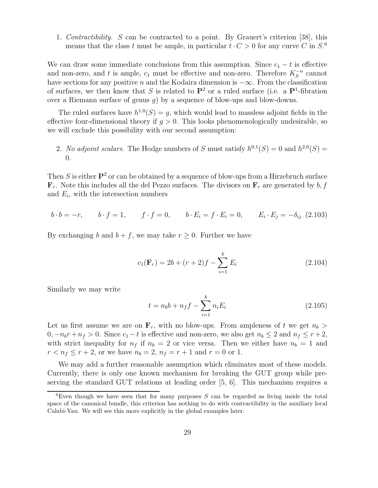1. *Contractibility.* S can be contracted to a point. By Grauert's criterion [38], this means that the class t must be ample, in particular  $t \cdot C > 0$  for any curve C in  $S^6$ .

We can draw some immediate conclusions from this assumption. Since  $c_1 - t$  is effective and non-zero, and t is ample,  $c_1$  must be effective and non-zero. Therefore  $K_S^{-n}$  cannot have sections for any positive n and the Kodaira dimension is  $-\infty$ . From the classification of surfaces, we then know that S is related to  $\mathbf{P}^2$  or a ruled surface (i.e. a  $\mathbf{P}^1$ -fibration over a Riemann surface of genus  $g$ ) by a sequence of blow-ups and blow-downs.

The ruled surfaces have  $h^{1,0}(S) = g$ , which would lead to massless adjoint fields in the effective four-dimensional theory if  $g > 0$ . This looks phenomenologically undesirable, so we will exclude this possibility with our second assumption:

2. *No adjoint scalars*. The Hodge numbers of S must satisfy  $h^{0,1}(S) = 0$  and  $h^{2,0}(S) =$ 0.

Then S is either  $\mathbf{P}^2$  or can be obtained by a sequence of blow-ups from a Hirzebruch surface  $\mathbf{F}_r$ . Note this includes all the del Pezzo surfaces. The divisors on  $\mathbf{F}_r$  are generated by  $b, f$ and  $E_i$ , with the intersection numbers

$$
b \cdot b = -r
$$
,  $b \cdot f = 1$ ,  $f \cdot f = 0$ ,  $b \cdot E_i = f \cdot E_i = 0$ ,  $E_i \cdot E_j = -\delta_{ij}$  (2.103)

By exchanging b and  $b + f$ , we may take  $r \geq 0$ . Further we have

$$
c_1(\mathbf{F}_r) = 2b + (r+2)f - \sum_{i=1}^{k} E_i
$$
 (2.104)

Similarly we may write

$$
t = n_b b + n_f f - \sum_{i=1}^{k} n_i E_i
$$
 (2.105)

Let us first assume we are on  $\mathbf{F}_r$ , with no blow-ups. From ampleness of t we get  $n_b >$  $0, -n_b r + n_f > 0$ . Since  $c_1 - t$  is effective and non-zero, we also get  $n_b \leq 2$  and  $n_f \leq r + 2$ , with strict inequality for  $n_f$  if  $n_b = 2$  or vice versa. Then we either have  $n_b = 1$  and  $r < n_f \le r + 2$ , or we have  $n_b = 2$ ,  $n_f = r + 1$  and  $r = 0$  or 1.

We may add a further reasonable assumption which eliminates most of these models. Currently, there is only one known mechanism for breaking the GUT group while preserving the standard GUT relations at leading order [5, 6]. This mechanism requires a

 ${}^{6}$ Even though we have seen that for many purposes S can be regarded as living inside the total space of the canonical bundle, this criterion has nothing to do with contractibility in the auxiliary local Calabi-Yau. We will see this more explicitly in the global examples later.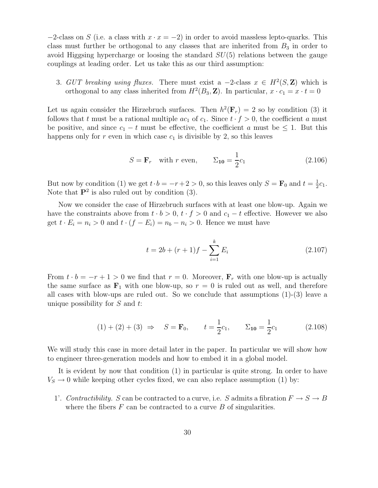$-2$ -class on S (i.e. a class with  $x \cdot x = -2$ ) in order to avoid massless lepto-quarks. This class must further be orthogonal to any classes that are inherited from  $B_3$  in order to avoid Higgsing hypercharge or loosing the standard  $SU(5)$  relations between the gauge couplings at leading order. Let us take this as our third assumption:

3. *GUT breaking using fluxes*. There must exist a  $-2$ -class  $x \in H^2(S, \mathbb{Z})$  which is orthogonal to any class inherited from  $H^2(B_3, \mathbb{Z})$ . In particular,  $x \cdot c_1 = x \cdot t = 0$ 

Let us again consider the Hirzebruch surfaces. Then  $h^2(\mathbf{F}_r) = 2$  so by condition (3) it follows that t must be a rational multiple  $ac_1$  of  $c_1$ . Since  $t \cdot f > 0$ , the coefficient a must be positive, and since  $c_1 - t$  must be effective, the coefficient a must be  $\leq 1$ . But this happens only for r even in which case  $c_1$  is divisible by 2, so this leaves

$$
S = \mathbf{F}_r \quad \text{with } r \text{ even}, \qquad \Sigma_{10} = \frac{1}{2}c_1 \tag{2.106}
$$

But now by condition (1) we get  $t \cdot b = -r + 2 > 0$ , so this leaves only  $S = \mathbf{F}_0$  and  $t = \frac{1}{2}$  $\frac{1}{2}c_1$ . Note that  $\mathbf{P}^2$  is also ruled out by condition (3).

Now we consider the case of Hirzebruch surfaces with at least one blow-up. Again we have the constraints above from  $t \cdot b > 0$ ,  $t \cdot f > 0$  and  $c_1 - t$  effective. However we also get  $t \cdot E_i = n_i > 0$  and  $t \cdot (f - E_i) = n_b - n_i > 0$ . Hence we must have

$$
t = 2b + (r+1)f - \sum_{i=1}^{k} E_i
$$
\n(2.107)

From  $t \cdot b = -r + 1 > 0$  we find that  $r = 0$ . Moreover,  $\mathbf{F}_r$  with one blow-up is actually the same surface as  $\mathbf{F}_1$  with one blow-up, so  $r = 0$  is ruled out as well, and therefore all cases with blow-ups are ruled out. So we conclude that assumptions  $(1)-(3)$  leave a unique possibility for  $S$  and  $t$ :

$$
(1) + (2) + (3) \Rightarrow S = \mathbf{F}_0, \qquad t = \frac{1}{2}c_1, \qquad \Sigma_{10} = \frac{1}{2}c_1 \tag{2.108}
$$

We will study this case in more detail later in the paper. In particular we will show how to engineer three-generation models and how to embed it in a global model.

It is evident by now that condition (1) in particular is quite strong. In order to have  $V<sub>S</sub> \rightarrow 0$  while keeping other cycles fixed, we can also replace assumption (1) by:

1'. *Contractibility.* S can be contracted to a curve, i.e. S admits a fibration  $F \to S \to B$ where the fibers  $F$  can be contracted to a curve  $B$  of singularities.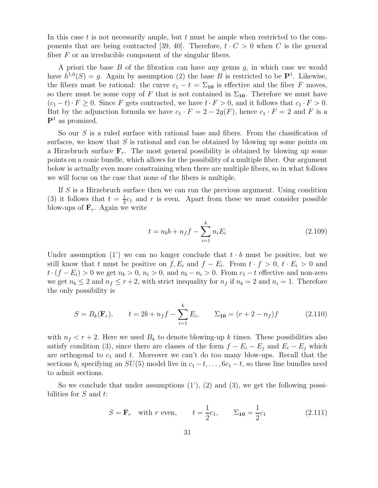In this case t is not necessarily ample, but t must be ample when restricted to the components that are being contracted [39, 40]. Therefore,  $t \cdot C > 0$  when C is the general fiber  $F$  or an irreducible component of the singular fibers.

A priori the base  $B$  of the fibration can have any genus  $g$ , in which case we would have  $h^{1,0}(S) = g$ . Again by assumption (2) the base B is restricted to be  $\mathbf{P}^1$ . Likewise, the fibers must be rational: the curve  $c_1 - t = \Sigma_{10}$  is effective and the fiber F moves, so there must be some copy of F that is not contained in  $\Sigma_{10}$ . Therefore we must have  $(c_1-t)\cdot F\geq 0$ . Since F gets contracted, we have  $t\cdot F>0$ , and it follows that  $c_1\cdot F>0$ . But by the adjunction formula we have  $c_1 \cdot F = 2 - 2g(F)$ , hence  $c_1 \cdot F = 2$  and F is a  $\mathbf{P}^1$  as promised.

So our S is a ruled surface with rational base and fibers. From the classification of surfaces, we know that  $S$  is rational and can be obtained by blowing up some points on a Hirzebruch surface  $\mathbf{F}_r$ . The most general possibility is obtained by blowing up some points on a conic bundle, which allows for the possibility of a multiple fiber. Our argument below is actually even more constraining when there are multiple fibers, so in what follows we will focus on the case that none of the fibers is multiple.

If S is a Hirzebruch surface then we can run the previous argument. Using condition (3) it follows that  $t=\frac{1}{2}$  $\frac{1}{2}c_1$  and r is even. Apart from these we must consider possible blow-ups of  $\mathbf{F}_r$ . Again we write

$$
t = n_b b + n_f f - \sum_{i=1}^{k} n_i E_i
$$
 (2.109)

Under assumption (1) we can no longer conclude that  $t \cdot b$  must be positive, but we still know that t must be positive on  $f, E_i$  and  $f - E_i$ . From  $t \cdot f > 0$ ,  $t \cdot E_i > 0$  and  $t \cdot (f - E_i) > 0$  we get  $n_b > 0$ ,  $n_i > 0$ , and  $n_b - n_i > 0$ . From  $c_1 - t$  effective and non-zero we get  $n_b \leq 2$  and  $n_f \leq r+2$ , with strict inequality for  $n_f$  if  $n_b = 2$  and  $n_i = 1$ . Therefore the only possibility is

$$
S = B_k(\mathbf{F}_r), \qquad t = 2b + n_f f - \sum_{i=1}^k E_i, \qquad \Sigma_{10} = (r + 2 - n_f) f \tag{2.110}
$$

with  $n_f < r + 2$ . Here we used  $B_k$  to denote blowing-up k times. These possibilities also satisfy condition (3), since there are classes of the form  $f - E_i - E_j$  and  $E_i - E_j$  which are orthogonal to  $c_1$  and  $t$ . Moreover we can't do too many blow-ups. Recall that the sections  $b_i$  specifying an  $SU(5)$  model live in  $c_1 - t, \ldots, 6c_1 - t$ , so these line bundles need to admit sections.

So we conclude that under assumptions  $(1')$ ,  $(2)$  and  $(3)$ , we get the following possibilities for  $S$  and  $t$ :

$$
S = \mathbf{F}_r
$$
 with *r* even,  $t = \frac{1}{2}c_1$ ,  $\Sigma_{10} = \frac{1}{2}c_1$  (2.111)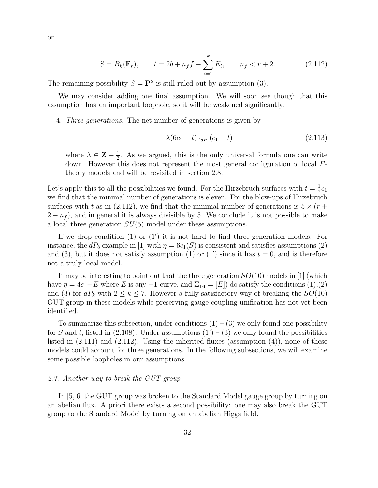$$
S = B_k(\mathbf{F}_r), \qquad t = 2b + n_f f - \sum_{i=1}^k E_i, \qquad n_f < r + 2. \tag{2.112}
$$

The remaining possibility  $S = \mathbf{P}^2$  is still ruled out by assumption (3).

We may consider adding one final assumption. We will soon see though that this assumption has an important loophole, so it will be weakened significantly.

4. *Three generations.* The net number of generations is given by

$$
-\lambda(6c_1 - t) \cdot_{dP} (c_1 - t) \tag{2.113}
$$

where  $\lambda \in \mathbf{Z} + \frac{1}{2}$  $\frac{1}{2}$ . As we argued, this is the only universal formula one can write down. However this does not represent the most general configuration of local Ftheory models and will be revisited in section 2.8.

Let's apply this to all the possibilities we found. For the Hirzebruch surfaces with  $t = \frac{1}{2}$  $rac{1}{2}c_1$ we find that the minimal number of generations is eleven. For the blow-ups of Hirzebruch surfaces with t as in (2.112), we find that the minimal number of generations is  $5 \times (r +$  $(2 - n_f)$ , and in general it is always divisible by 5. We conclude it is not possible to make a local three generation  $SU(5)$  model under these assumptions.

If we drop condition (1) or (1') it is not hard to find three-generation models. For instance, the  $dP_8$  example in [1] with  $\eta = 6c_1(S)$  is consistent and satisfies assumptions (2) and (3), but it does not satisfy assumption (1) or (1') since it has  $t = 0$ , and is therefore not a truly local model.

It may be interesting to point out that the three generation  $SO(10)$  models in [1] (which have  $\eta = 4c_1 + E$  where E is any -1-curve, and  $\Sigma_{16} = [E]$  do satisfy the conditions (1),(2) and (3) for  $dP_k$  with  $2 \leq k \leq 7$ . However a fully satisfactory way of breaking the  $SO(10)$ GUT group in these models while preserving gauge coupling unification has not yet been identified.

To summarize this subsection, under conditions  $(1) - (3)$  we only found one possibility for S and t, listed in (2.108). Under assumptions  $(1') - (3)$  we only found the possibilities listed in  $(2.111)$  and  $(2.112)$ . Using the inherited fluxes (assumption  $(4)$ ), none of these models could account for three generations. In the following subsections, we will examine some possible loopholes in our assumptions.

#### *2.7. Another way to break the GUT group*

In [5, 6] the GUT group was broken to the Standard Model gauge group by turning on an abelian flux. A priori there exists a second possibility: one may also break the GUT group to the Standard Model by turning on an abelian Higgs field.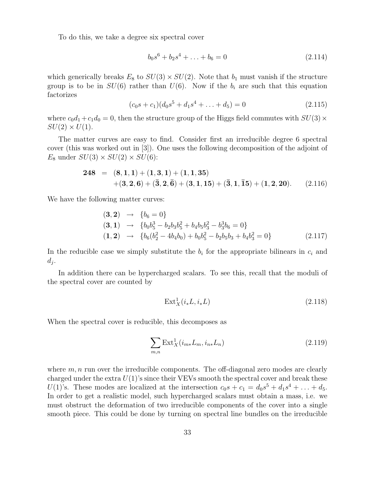To do this, we take a degree six spectral cover

$$
b_0s^6 + b_2s^4 + \ldots + b_6 = 0 \tag{2.114}
$$

which generically breaks  $E_8$  to  $SU(3) \times SU(2)$ . Note that  $b_1$  must vanish if the structure group is to be in  $SU(6)$  rather than  $U(6)$ . Now if the  $b_i$  are such that this equation factorizes

$$
(c_0s + c_1)(d_0s^5 + d_1s^4 + \ldots + d_5) = 0 \tag{2.115}
$$

where  $c_0d_1+c_1d_0=0$ , then the structure group of the Higgs field commutes with  $SU(3) \times$  $SU(2) \times U(1)$ .

The matter curves are easy to find. Consider first an irreducible degree 6 spectral cover (this was worked out in [3]). One uses the following decomposition of the adjoint of  $E_8$  under  $SU(3) \times SU(2) \times SU(6)$ :

248 = 
$$
(8,1,1) + (1,3,1) + (1,1,35)
$$
  
+(3,2,6) +  $(\bar{3},2,\bar{6}) + (3,1,15) + (\bar{3},1,\bar{1}5) + (1,2,20)$ . (2.116)

We have the following matter curves:

$$
\begin{array}{rcl}\n(3,2) & \rightarrow & \{b_6 = 0\} \\
(3,1) & \rightarrow & \{b_0 b_5^3 - b_2 b_3 b_5^2 + b_4 b_5 b_3^2 - b_3^3 b_6 = 0\} \\
(1,2) & \rightarrow & \{b_6 (b_2^2 - 4 b_4 b_0) + b_0 b_5^2 - b_2 b_5 b_3 + b_4 b_3^2 = 0\} \\
(2.117)\n\end{array}
$$

In the reducible case we simply substitute the  $b_i$  for the appropriate bilinears in  $c_i$  and  $d_j$ .

In addition there can be hypercharged scalars. To see this, recall that the moduli of the spectral cover are counted by

$$
\operatorname{Ext}^1_X(i_*L, i_*L) \tag{2.118}
$$

When the spectral cover is reducible, this decomposes as

$$
\sum_{m,n} \text{Ext}^1_X(i_{m*}L_m, i_{n*}L_n)
$$
\n(2.119)

where  $m, n$  run over the irreducible components. The off-diagonal zero modes are clearly charged under the extra  $U(1)$ 's since their VEVs smooth the spectral cover and break these  $U(1)$ 's. These modes are localized at the intersection  $c_0s + c_1 = d_0s^5 + d_1s^4 + \ldots + d_5$ . In order to get a realistic model, such hypercharged scalars must obtain a mass, i.e. we must obstruct the deformation of two irreducible components of the cover into a single smooth piece. This could be done by turning on spectral line bundles on the irreducible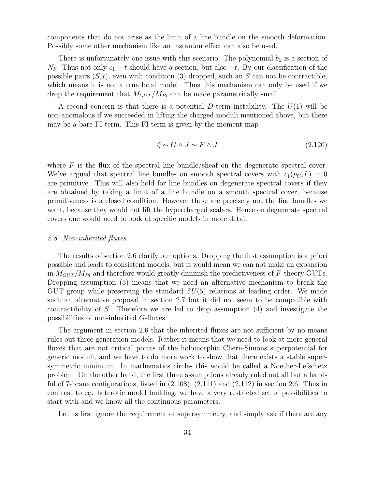components that do not arise as the limit of a line bundle on the smooth deformation. Possibly some other mechanism like an instanton effect can also be used.

There is unfortunately one issue with this scenario. The polynomial  $b_6$  is a section of  $N<sub>S</sub>$ . Thus not only  $c<sub>1</sub> - t$  should have a section, but also  $-t$ . By our classification of the possible pairs  $(S, t)$ , even with condition (3) dropped, such an S can not be contractible, which means it is not a true local model. Thus this mechanism can only be used if we drop the requirement that  $M_{GUT}/M_{Pl}$  can be made parametrically small.

A second concern is that there is a potential D-term instability. The  $U(1)$  will be non-anomalous if we succeeded in lifting the charged moduli mentioned above, but there may be a bare FI term. This FI term is given by the moment map

$$
\zeta \sim G \wedge J \sim F \wedge J \tag{2.120}
$$

where  $F$  is the flux of the spectral line bundle/sheaf on the degenerate spectral cover. We've argued that spectral line bundles on smooth spectral covers with  $c_1(p_{C*}L) = 0$ are primitive. This will also hold for line bundles on degenerate spectral covers if they are obtained by taking a limit of a line bundle on a smooth spectral cover, because primitiveness is a closed condition. However these are precisely not the line bundles we want, because they would not lift the hypercharged scalars. Hence on degenerate spectral covers one would need to look at specific models in more detail.

#### *2.8. Non-inherited fluxes*

The results of section 2.6 clarify our options. Dropping the first assumption is a priori possible and leads to consistent models, but it would mean we can not make an expansion in  $M_{GUT}/M_{Pl}$  and therefore would greatly diminish the predictiveness of F-theory GUTs. Dropping assumption (3) means that we need an alternative mechanism to break the GUT group while preserving the standard  $SU(5)$  relations at leading order. We made such an alternative proposal in section 2.7 but it did not seem to be compatible with contractibility of S. Therefore we are led to drop assumption (4) and investigate the possibilities of non-inherited G-fluxes.

The argument in section 2.6 that the inherited fluxes are not sufficient by no means rules out three generation models. Rather it means that we need to look at more general fluxes that are not critical points of the holomorphic Chern-Simons superpotential for generic moduli, and we have to do more work to show that there exists a stable supersymmetric minimum. In mathematics circles this would be called a Noether-Lefschetz problem. On the other hand, the first three assumptions already ruled out all but a handful of 7-brane configurations, listed in  $(2.108)$ ,  $(2.111)$  and  $(2.112)$  in section 2.6. Thus in contrast to eg. heterotic model building, we have a very restricted set of possibilities to start with and we know all the continuous parameters.

Let us first ignore the requirement of supersymmetry, and simply ask if there are any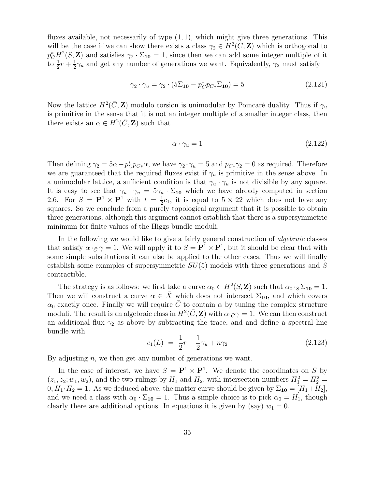fluxes available, not necessarily of type  $(1, 1)$ , which might give three generations. This will be the case if we can show there exists a class  $\gamma_2 \in H^2(\overline{C}, \mathbb{Z})$  which is orthogonal to  $p_C^* H^2(S, \mathbf{Z})$  and satisfies  $\gamma_2 \cdot \Sigma_{10} = 1$ , since then we can add some integer multiple of it to  $\frac{1}{2}r + \frac{1}{2}$  $\frac{1}{2}\gamma_u$  and get any number of generations we want. Equivalently,  $\gamma_2$  must satisfy

$$
\gamma_2 \cdot \gamma_u = \gamma_2 \cdot (5\Sigma_{10} - p_C^* p_{C*} \Sigma_{10}) = 5 \tag{2.121}
$$

Now the lattice  $H^2(\bar{C}, \mathbf{Z})$  modulo torsion is unimodular by Poincaré duality. Thus if  $\gamma_u$ is primitive in the sense that it is not an integer multiple of a smaller integer class, then there exists an  $\alpha \in H^2(\overline{C}, \mathbf{Z})$  such that

$$
\alpha \cdot \gamma_u = 1 \tag{2.122}
$$

Then defining  $\gamma_2 = 5\alpha - p_C^* p_{C*} \alpha$ , we have  $\gamma_2 \cdot \gamma_u = 5$  and  $p_{C*} \gamma_2 = 0$  as required. Therefore we are guaranteed that the required fluxes exist if  $\gamma_u$  is primitive in the sense above. In a unimodular lattice, a sufficient condition is that  $\gamma_u \cdot \gamma_u$  is not divisible by any square. It is easy to see that  $\gamma_u \cdot \gamma_u = 5\gamma_u \cdot \Sigma_{10}$  which we have already computed in section 2.6. For  $S = \mathbf{P}^1 \times \mathbf{P}^1$  with  $t = \frac{1}{2}$  $\frac{1}{2}c_1$ , it is equal to  $5 \times 22$  which does not have any squares. So we conclude from a purely topological argument that it is possible to obtain three generations, although this argument cannot establish that there is a supersymmetric minimum for finite values of the Higgs bundle moduli.

In the following we would like to give a fairly general construction of *algebraic* classes that satisfy  $\alpha \cdot_{\bar{C}} \gamma = 1$ . We will apply it to  $S = \mathbf{P}^1 \times \mathbf{P}^1$ , but it should be clear that with some simple substitutions it can also be applied to the other cases. Thus we will finally establish some examples of supersymmetric  $SU(5)$  models with three generations and S contractible.

The strategy is as follows: we first take a curve  $\alpha_0 \in H^2(S, \mathbb{Z})$  such that  $\alpha_0 \cdot_S \Sigma_{10} = 1$ . Then we will construct a curve  $\alpha \in \overline{X}$  which does not intersect  $\Sigma_{10}$ , and which covers  $\alpha_0$  exactly once. Finally we will require  $\overline{C}$  to contain  $\alpha$  by tuning the complex structure moduli. The result is an algebraic class in  $H^2(\bar{C}, \mathbf{Z})$  with  $\alpha \cdot_{\bar{C}} \gamma = 1$ . We can then construct an additional flux  $\gamma_2$  as above by subtracting the trace, and and define a spectral line bundle with

$$
c_1(L) = \frac{1}{2}r + \frac{1}{2}\gamma_u + n\gamma_2 \tag{2.123}
$$

By adjusting  $n$ , we then get any number of generations we want.

In the case of interest, we have  $S = \mathbf{P}^1 \times \mathbf{P}^1$ . We denote the coordinates on S by  $(z_1, z_2; w_1, w_2)$ , and the two rulings by  $H_1$  and  $H_2$ , with intersection numbers  $H_1^2 = H_2^2 =$  $0, H_1 \cdot H_2 = 1$ . As we deduced above, the matter curve should be given by  $\Sigma_{10} = [H_1 + H_2]$ , and we need a class with  $\alpha_0 \cdot \Sigma_{10} = 1$ . Thus a simple choice is to pick  $\alpha_0 = H_1$ , though clearly there are additional options. In equations it is given by (say)  $w_1 = 0$ .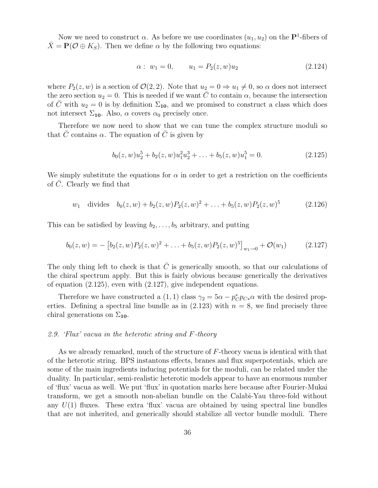Now we need to construct  $\alpha$ . As before we use coordinates  $(u_1, u_2)$  on the  $\mathbf{P}^1$ -fibers of  $\bar{X} = P(\mathcal{O} \oplus K_S)$ . Then we define  $\alpha$  by the following two equations:

$$
\alpha: \ w_1 = 0, \qquad u_1 = P_2(z, w)u_2 \tag{2.124}
$$

where  $P_2(z, w)$  is a section of  $\mathcal{O}(2, 2)$ . Note that  $u_2 = 0 \Rightarrow u_1 \neq 0$ , so  $\alpha$  does not intersect the zero section  $u_2 = 0$ . This is needed if we want  $\overline{C}$  to contain  $\alpha$ , because the intersection of C with  $u_2 = 0$  is by definition  $\Sigma_{10}$ , and we promised to construct a class which does not intersect  $\Sigma_{10}$ . Also,  $\alpha$  covers  $\alpha_0$  precisely once.

Therefore we now need to show that we can tune the complex structure moduli so that  $\overline{C}$  contains  $\alpha$ . The equation of  $\overline{C}$  is given by

$$
b_0(z, w)u_2^5 + b_2(z, w)u_1^2u_2^3 + \ldots + b_5(z, w)u_1^5 = 0.
$$
 (2.125)

We simply substitute the equations for  $\alpha$  in order to get a restriction on the coefficients of  $C$ . Clearly we find that

$$
w_1
$$
 divides  $b_0(z, w) + b_2(z, w)P_2(z, w)^2 + \ldots + b_5(z, w)P_2(z, w)^5$  (2.126)

This can be satisfied by leaving  $b_2, \ldots, b_5$  arbitrary, and putting

$$
b_0(z, w) = -[b_2(z, w)P_2(z, w)^2 + \ldots + b_5(z, w)P_2(z, w)^5]_{w_1 \to 0} + \mathcal{O}(w_1) \tag{2.127}
$$

The only thing left to check is that  $\overline{C}$  is generically smooth, so that our calculations of the chiral spectrum apply. But this is fairly obvious because generically the derivatives of equation (2.125), even with (2.127), give independent equations.

Therefore we have constructed a (1, 1) class  $\gamma_2 = 5\alpha - p_C^* p_{C*} \alpha$  with the desired properties. Defining a spectral line bundle as in  $(2.123)$  with  $n = 8$ , we find precisely three chiral generations on  $\Sigma_{10}$ .

## *2.9. 'Flux' vacua in the heterotic string and* F*-theory*

As we already remarked, much of the structure of F-theory vacua is identical with that of the heterotic string. BPS instantons effects, branes and flux superpotentials, which are some of the main ingredients inducing potentials for the moduli, can be related under the duality. In particular, semi-realistic heterotic models appear to have an enormous number of 'flux' vacua as well. We put 'flux' in quotation marks here because after Fourier-Mukai transform, we get a smooth non-abelian bundle on the Calabi-Yau three-fold without any  $U(1)$  fluxes. These extra 'flux' vacua are obtained by using spectral line bundles that are not inherited, and generically should stabilize all vector bundle moduli. There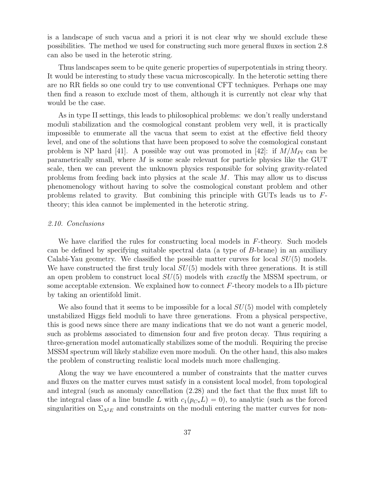is a landscape of such vacua and a priori it is not clear why we should exclude these possibilities. The method we used for constructing such more general fluxes in section 2.8 can also be used in the heterotic string.

Thus landscapes seem to be quite generic properties of superpotentials in string theory. It would be interesting to study these vacua microscopically. In the heterotic setting there are no RR fields so one could try to use conventional CFT techniques. Perhaps one may then find a reason to exclude most of them, although it is currently not clear why that would be the case.

As in type II settings, this leads to philosophical problems: we don't really understand moduli stabilization and the cosmological constant problem very well, it is practically impossible to enumerate all the vacua that seem to exist at the effective field theory level, and one of the solutions that have been proposed to solve the cosmological constant problem is NP hard [41]. A possible way out was promoted in [42]: if  $M/M_{Pl}$  can be parametrically small, where  $M$  is some scale relevant for particle physics like the GUT scale, then we can prevent the unknown physics responsible for solving gravity-related problems from feeding back into physics at the scale M. This may allow us to discuss phenomenology without having to solve the cosmological constant problem and other problems related to gravity. But combining this principle with GUTs leads us to Ftheory; this idea cannot be implemented in the heterotic string.

## *2.10. Conclusions*

We have clarified the rules for constructing local models in F-theory. Such models can be defined by specifying suitable spectral data (a type of B-brane) in an auxiliary Calabi-Yau geometry. We classified the possible matter curves for local  $SU(5)$  models. We have constructed the first truly local  $SU(5)$  models with three generations. It is still an open problem to construct local SU(5) models with *exactly* the MSSM spectrum, or some acceptable extension. We explained how to connect  $F$ -theory models to a IIb picture by taking an orientifold limit.

We also found that it seems to be impossible for a local  $SU(5)$  model with completely unstabilized Higgs field moduli to have three generations. From a physical perspective, this is good news since there are many indications that we do not want a generic model, such as problems associated to dimension four and five proton decay. Thus requiring a three-generation model automatically stabilizes some of the moduli. Requiring the precise MSSM spectrum will likely stabilize even more moduli. On the other hand, this also makes the problem of constructing realistic local models much more challenging.

Along the way we have encountered a number of constraints that the matter curves and fluxes on the matter curves must satisfy in a consistent local model, from topological and integral (such as anomaly cancellation (2.28) and the fact that the flux must lift to the integral class of a line bundle L with  $c_1(p_{C*}L) = 0$ ), to analytic (such as the forced singularities on  $\Sigma_{\Lambda^2 E}$  and constraints on the moduli entering the matter curves for non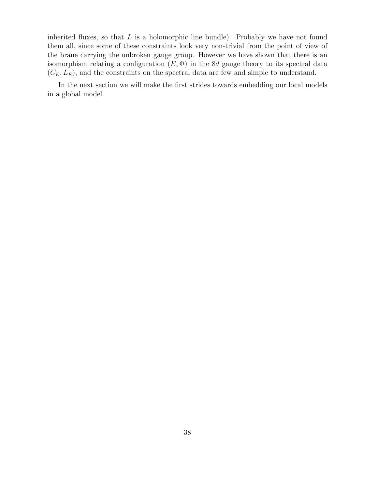inherited fluxes, so that  $L$  is a holomorphic line bundle). Probably we have not found them all, since some of these constraints look very non-trivial from the point of view of the brane carrying the unbroken gauge group. However we have shown that there is an isomorphism relating a configuration  $(E, \Phi)$  in the 8d gauge theory to its spectral data  $(C_E, L_E)$ , and the constraints on the spectral data are few and simple to understand.

In the next section we will make the first strides towards embedding our local models in a global model.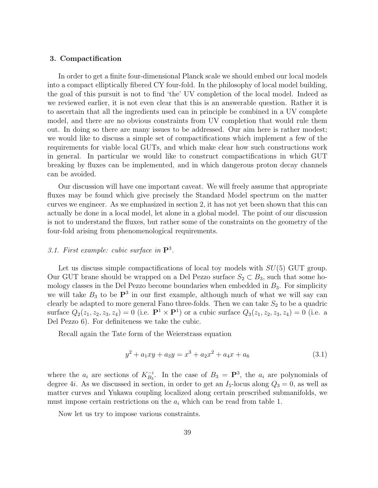## 3. Compactification

In order to get a finite four-dimensional Planck scale we should embed our local models into a compact elliptically fibered CY four-fold. In the philosophy of local model building, the goal of this pursuit is not to find 'the' UV completion of the local model. Indeed as we reviewed earlier, it is not even clear that this is an answerable question. Rather it is to ascertain that all the ingredients used can in principle be combined in a UV complete model, and there are no obvious constraints from UV completion that would rule them out. In doing so there are many issues to be addressed. Our aim here is rather modest; we would like to discuss a simple set of compactifications which implement a few of the requirements for viable local GUTs, and which make clear how such constructions work in general. In particular we would like to construct compactifications in which GUT breaking by fluxes can be implemented, and in which dangerous proton decay channels can be avoided.

Our discussion will have one important caveat. We will freely assume that appropriate fluxes may be found which give precisely the Standard Model spectrum on the matter curves we engineer. As we emphasized in section 2, it has not yet been shown that this can actually be done in a local model, let alone in a global model. The point of our discussion is not to understand the fluxes, but rather some of the constraints on the geometry of the four-fold arising from phenomenological requirements.

## *3.1. First example: cubic surface in* P<sup>3</sup> *.*

Let us discuss simple compactifications of local toy models with  $SU(5)$  GUT group. Our GUT brane should be wrapped on a Del Pezzo surface  $S_2 \subset B_3$ , such that some homology classes in the Del Pezzo become boundaries when embedded in  $B_3$ . For simplicity we will take  $B_3$  to be  $\mathbf{P}^3$  in our first example, although much of what we will say can clearly be adapted to more general Fano three-folds. Then we can take  $S_2$  to be a quadric surface  $Q_2(z_1, z_2, z_3, z_4) = 0$  (i.e.  $\mathbf{P}^1 \times \mathbf{P}^1$ ) or a cubic surface  $Q_3(z_1, z_2, z_3, z_4) = 0$  (i.e. a Del Pezzo 6). For definiteness we take the cubic.

Recall again the Tate form of the Weierstrass equation

$$
y^{2} + a_{1}xy + a_{3}y = x^{3} + a_{2}x^{2} + a_{4}x + a_{6}
$$
\n(3.1)

where the  $a_i$  are sections of  $K_{B_3}^{-i}$ . In the case of  $B_3 = \mathbf{P}^3$ , the  $a_i$  are polynomials of degree 4*i*. As we discussed in section, in order to get an  $I_5$ -locus along  $Q_3 = 0$ , as well as matter curves and Yukawa coupling localized along certain prescribed submanifolds, we must impose certain restrictions on the  $a_i$  which can be read from table 1.

Now let us try to impose various constraints.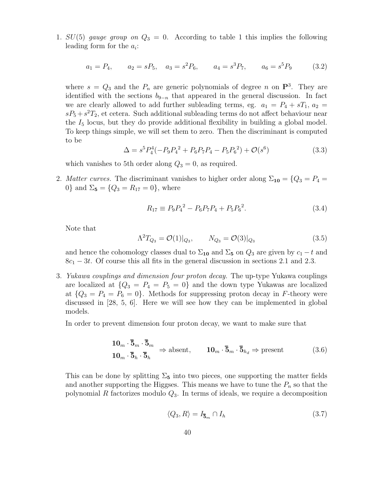1.  $SU(5)$  gauge group on  $Q_3 = 0$ . According to table 1 this implies the following leading form for the  $a_i$ :

$$
a_1 = P_4
$$
,  $a_2 = sP_5$ ,  $a_3 = s^2P_6$ ,  $a_4 = s^3P_7$ ,  $a_6 = s^5P_9$  (3.2)

where  $s = Q_3$  and the  $P_n$  are generic polynomials of degree n on  $\mathbf{P}^3$ . They are identified with the sections  $b_{9-n}$  that appeared in the general discussion. In fact we are clearly allowed to add further subleading terms, eg.  $a_1 = P_4 + sT_1$ ,  $a_2 =$  $sP_5 + s^2T_2$ , et cetera. Such additional subleading terms do not affect behaviour near the  $I_5$  locus, but they do provide additional flexibility in building a global model. To keep things simple, we will set them to zero. Then the discriminant is computed to be

$$
\Delta = s^5 P_4^4 (-P_9 P_4^2 + P_6 P_7 P_4 - P_5 P_6^2) + \mathcal{O}(s^6)
$$
\n(3.3)

which vanishes to 5th order along  $Q_3 = 0$ , as required.

2. *Matter curves*. The discriminant vanishes to higher order along  $\Sigma_{10} = \{Q_3 = P_4 =$ 0} and  $\Sigma_5 = \{Q_3 = R_{17} = 0\}$ , where

$$
R_{17} \equiv P_9 P_4^2 - P_6 P_7 P_4 + P_5 P_6^2. \tag{3.4}
$$

Note that

$$
\Lambda^2 T_{Q_3} = \mathcal{O}(1)|_{Q_3}, \qquad N_{Q_3} = \mathcal{O}(3)|_{Q_3} \tag{3.5}
$$

and hence the cohomology classes dual to  $\Sigma_{10}$  and  $\Sigma_{5}$  on  $Q_{3}$  are given by  $c_{1} - t$  and  $8c_1 - 3t$ . Of course this all fits in the general discussion in sections 2.1 and 2.3.

3. *Yukawa couplings and dimension four proton decay.* The up-type Yukawa couplings are localized at  ${Q_3 = P_4 = P_5 = 0}$  and the down type Yukawas are localized at  ${Q_3 = P_4 = P_6 = 0}$ . Methods for suppressing proton decay in F-theory were discussed in [28, 5, 6]. Here we will see how they can be implemented in global models.

In order to prevent dimension four proton decay, we want to make sure that

$$
\begin{aligned} \mathbf{10}_{m} \cdot \mathbf{\bar{5}}_{m} \cdot \mathbf{\bar{5}}_{m} \\ \mathbf{10}_{m} \cdot \mathbf{\bar{5}}_{h} \cdot \mathbf{\bar{5}}_{h} \end{aligned} \Rightarrow \text{absent}, \qquad \mathbf{10}_{m} \cdot \mathbf{\bar{5}}_{m} \cdot \mathbf{\bar{5}}_{h_{d}} \Rightarrow \text{present} \tag{3.6}
$$

This can be done by splitting  $\Sigma_5$  into two pieces, one supporting the matter fields and another supporting the Higgses. This means we have to tune the  $P_n$  so that the polynomial R factorizes modulo  $Q_3$ . In terms of ideals, we require a decomposition

$$
\langle Q_3, R \rangle = I_{\bar{\mathbf{5}}_m} \cap I_h \tag{3.7}
$$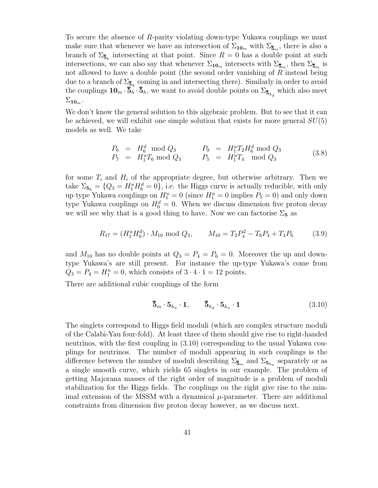To secure the absence of R-parity violating down-type Yukawa couplings we must make sure that whenever we have an intersection of  $\Sigma_{10_m}$  with  $\Sigma_{\bar{5}_m}$ , there is also a branch of  $\Sigma_{\bar{\bf 5}_h}$  intersecting at that point. Since  $R=0$  has a double point at such intersections, we can also say that whenever  $\Sigma_{10_m}$  intersects with  $\Sigma_{\bar{5}_m}$ , then  $\Sigma_{\bar{5}_m}$  is not allowed to have a double point (the second order vanishing of R instead being due to a branch of  $\Sigma_{\bar{\bf 5}_h}$  coming in and intersecting there). Similarly in order to avoid the couplings  $10_m \cdot \overline{5}_h \cdot \overline{5}_h$ , we want to avoid double points on  $\Sigma_{\overline{5}_{h_d}}$  which also meet  $\Sigma_{10_m}$ .

We don't know the general solution to this algebraic problem. But to see that it can be achieved, we will exhibit one simple solution that exists for more general  $SU(5)$ models as well. We take

$$
P_6 = H_6^d \mod Q_3 \qquad P_9 = H_1^u T_2 H_6^d \mod Q_3 P_7 = H_1^u T_6 \mod Q_3 \qquad P_5 = H_1^u T_4 \mod Q_3
$$
 (3.8)

for some  $T_i$  and  $H_i$  of the appropriate degree, but otherwise arbitrary. Then we take  $\Sigma_{5_h} = \{Q_3 = H_1^u H_6^d = 0\}$ , i.e. the Higgs curve is actually reducible, with only up type Yukawa couplings on  $H_1^u = 0$  (since  $H_1^u = 0$  implies  $P_5 = 0$ ) and only down type Yukawa couplings on  $H_6^d = 0$ . When we discuss dimension five proton decay we will see why that is a good thing to have. Now we can factorise  $\Sigma_5$  as

$$
R_{17} = (H_1^u H_6^d) \cdot M_{10} \text{ mod } Q_3, \qquad M_{10} = T_2 P_4^2 - T_6 P_4 + T_4 P_6 \tag{3.9}
$$

and  $M_{10}$  has no double points at  $Q_3 = P_4 = P_6 = 0$ . Moreover the up and downtype Yukawa's are still present. For instance the up-type Yukawa's come from  $Q_3 = P_4 = H_1^u = 0$ , which consists of  $3 \cdot 4 \cdot 1 = 12$  points.

There are additional cubic couplings of the form

$$
\overline{\mathbf{5}}_m \cdot \mathbf{5}_{h_u} \cdot \mathbf{1}, \qquad \overline{\mathbf{5}}_{h_d} \cdot \mathbf{5}_{h_u} \cdot \mathbf{1}
$$
 (3.10)

The singlets correspond to Higgs field moduli (which are complex structure moduli of the Calabi-Yau four-fold). At least three of them should give rise to right-handed neutrinos, with the first coupling in (3.10) corresponding to the usual Yukawa couplings for neutrinos. The number of moduli appearing in such couplings is the difference between the number of moduli describing  $\Sigma_{\bar{5}_m}$  and  $\Sigma_{\bar{5}_{h_u}}$  separately or as a single smooth curve, which yields 65 singlets in our example. The problem of getting Majorana masses of the right order of magnitude is a problem of moduli stabilization for the Higgs fields. The couplings on the right give rise to the minimal extension of the MSSM with a dynamical  $\mu$ -parameter. There are additional constraints from dimension five proton decay however, as we discuss next.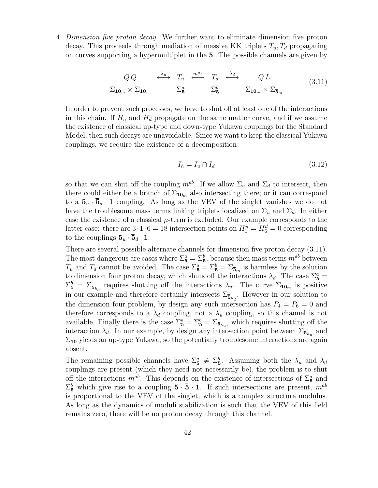4. *Dimension five proton decay.* We further want to eliminate dimension five proton decay. This proceeds through mediation of massive KK triplets  $T_u, T_d$  propagating on curves supporting a hypermultiplet in the 5. The possible channels are given by

$$
QQ \xrightarrow{\lambda_u} T_u \xrightarrow{m^{ab}} T_d \xrightarrow{\lambda_d} Q L
$$
  

$$
\Sigma_{10_m} \times \Sigma_{10_m} \qquad \Sigma_5^a \qquad \Sigma_5^b \qquad \Sigma_{10_m} \times \Sigma_{\bar{5}_m}
$$
 (3.11)

In order to prevent such processes, we have to shut off at least one of the interactions in this chain. If  $H_u$  and  $H_d$  propagate on the same matter curve, and if we assume the existence of classical up-type and down-type Yukawa couplings for the Standard Model, then such decays are unavoidable. Since we want to keep the classical Yukawa couplings, we require the existence of a decomposition

$$
I_h = I_u \cap I_d \tag{3.12}
$$

so that we can shut off the coupling  $m^{ab}$ . If we allow  $\Sigma_u$  and  $\Sigma_d$  to intersect, then there could either be a branch of  $\Sigma_{10_m}$  also intersecting there; or it can correspond to a  $5_u \cdot 5_d \cdot 1$  coupling. As long as the VEV of the singlet vanishes we do not have the troublesome mass terms linking triplets localized on  $\Sigma_u$  and  $\Sigma_d$ . In either case the existence of a classical  $\mu$ -term is excluded. Our example corresponds to the latter case: there are  $3 \cdot 1 \cdot 6 = 18$  intersection points on  $H_1^u = H_6^d = 0$  corresponding to the couplings  $\mathbf{5}_u \cdot \overline{\mathbf{5}}_d \cdot \mathbf{1}$ .

There are several possible alternate channels for dimension five proton decay (3.11). The most dangerous are cases where  $\Sigma^a_{\bf 5} = \Sigma^b_{\bf 5}$ , because then mass terms  $m^{ab}$  between  $T_u$  and  $T_d$  cannot be avoided. The case  $\Sigma^a_{\bf 5} = \Sigma^b_{\bf 5} = \Sigma_{\bf 5}_m$  is harmless by the solution to dimension four proton decay, which shuts off the interactions  $\lambda_d$ . The case  $\Sigma^a_{\bf 5}$  =  $\Sigma_5^b = \Sigma_{\bar{\bf 5}_{h_d}}$  requires shutting off the interactions  $\lambda_u$ . The curve  $\Sigma_{10_m}$  is positive in our example and therefore certainly intersects  $\Sigma_{\bar{\mathbf{5}}_{h_d}}$ . However in our solution to the dimension four problem, by design any such intersection has  $P_4 = P_6 = 0$  and therefore corresponds to a  $\lambda_d$  coupling, not a  $\lambda_u$  coupling, so this channel is not available. Finally there is the case  $\Sigma^a_{\bf{5}} = \Sigma^b_{\bf{5}} = \Sigma_{\bf{5}_{h_u}}$ , which requires shutting off the interaction  $\lambda_d$ . In our example, by design any intersection point between  $\Sigma_{\mathbf{5}_{h_u}}$  and  $\Sigma_{10}$  yields an up-type Yukawa, so the potentially troublesome interactions are again absent.

The remaining possible channels have  $\Sigma^a_{\bf 5} \neq \Sigma^b_{\bf 5}$ . Assuming both the  $\lambda_u$  and  $\lambda_d$ couplings are present (which they need not necessarily be), the problem is to shut off the interactions  $m^{ab}$ . This depends on the existence of intersections of  $\Sigma_5^a$  and  $\Sigma_5^b$  which give rise to a coupling  $5 \cdot \overline{5} \cdot 1$ . If such intersections are present,  $m^{ab}$ is proportional to the VEV of the singlet, which is a complex structure modulus. As long as the dynamics of moduli stabilization is such that the VEV of this field remains zero, there will be no proton decay through this channel.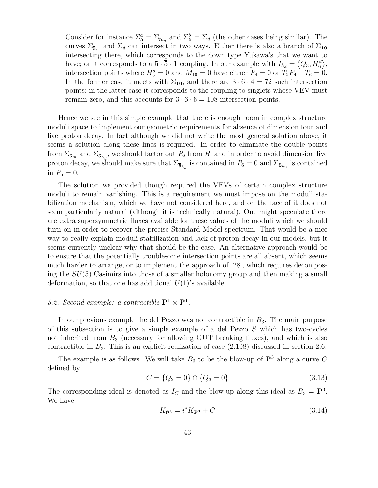Consider for instance  $\Sigma_5^a = \Sigma_{\bar{b}_m}$  and  $\Sigma_5^b = \Sigma_d$  (the other cases being similar). The curves  $\Sigma_{\bar{5}_m}$  and  $\Sigma_d$  can intersect in two ways. Either there is also a branch of  $\Sigma_{10}$ intersecting there, which corresponds to the down type Yukawa's that we want to have; or it corresponds to a  $5 \cdot \bar{5} \cdot 1$  coupling. In our example with  $I_{h_d} = \langle Q_3, H_6^d \rangle$ , intersection points where  $H_6^d = 0$  and  $M_{10} = 0$  have either  $P_4 = 0$  or  $T_2P_4 - T_6 = 0$ . In the former case it meets with  $\Sigma_{10}$ , and there are  $3 \cdot 6 \cdot 4 = 72$  such intersection points; in the latter case it corresponds to the coupling to singlets whose VEV must remain zero, and this accounts for  $3 \cdot 6 \cdot 6 = 108$  intersection points.

Hence we see in this simple example that there is enough room in complex structure moduli space to implement our geometric requirements for absence of dimension four and five proton decay. In fact although we did not write the most general solution above, it seems a solution along these lines is required. In order to eliminate the double points from  $\Sigma_{\bar{\bf 5}_m}$  and  $\Sigma_{\bar{\bf 5}_{h_d}}$ , we should factor out  $P_6$  from R, and in order to avoid dimension five proton decay, we should make sure that  $\Sigma_{\overline{5}_{h_d}}$  is contained in  $P_6 = 0$  and  $\Sigma_{\overline{5}_{h_u}}$  is contained in  $P_5 = 0$ .

The solution we provided though required the VEVs of certain complex structure moduli to remain vanishing. This is a requirement we must impose on the moduli stabilization mechanism, which we have not considered here, and on the face of it does not seem particularly natural (although it is technically natural). One might speculate there are extra supersymmetric fluxes available for these values of the moduli which we should turn on in order to recover the precise Standard Model spectrum. That would be a nice way to really explain moduli stabilization and lack of proton decay in our models, but it seems currently unclear why that should be the case. An alternative approach would be to ensure that the potentially troublesome intersection points are all absent, which seems much harder to arrange, or to implement the approach of [28], which requires decomposing the SU(5) Casimirs into those of a smaller holonomy group and then making a small deformation, so that one has additional  $U(1)$ 's available.

## *3.2. Second example: a contractible*  $\mathbf{P}^1 \times \mathbf{P}^1$ .

In our previous example the del Pezzo was not contractible in  $B_3$ . The main purpose of this subsection is to give a simple example of a del Pezzo S which has two-cycles not inherited from  $B_3$  (necessary for allowing GUT breaking fluxes), and which is also contractible in  $B_3$ . This is an explicit realization of case  $(2.108)$  discussed in section 2.6.

The example is as follows. We will take  $B_3$  to be the blow-up of  $\mathbf{P}^3$  along a curve C defined by

$$
C = \{Q_2 = 0\} \cap \{Q_3 = 0\} \tag{3.13}
$$

The corresponding ideal is denoted as  $I_C$  and the blow-up along this ideal as  $B_3 = \tilde{\mathbf{P}}^3$ . We have

$$
K_{\tilde{\mathbf{P}}^3} = i^* K_{\mathbf{P}^3} + \tilde{C}
$$
\n(3.14)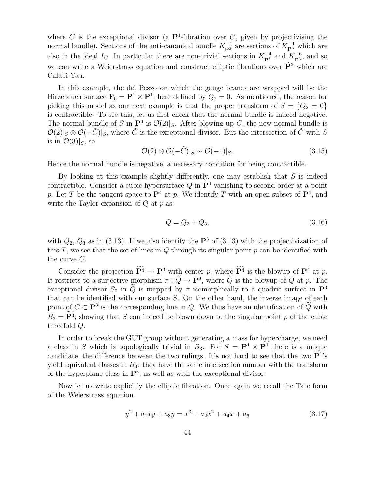where  $\tilde{C}$  is the exceptional divisor (a P<sup>1</sup>-fibration over C, given by projectivising the normal bundle). Sections of the anti-canonical bundle  $K_{\tilde{P}^3}^{-1}$  are sections of  $K_{\mathbf{P}^3}^{-1}$  which are also in the ideal  $I_C$ . In particular there are non-trivial sections in  $K_{\tilde{P}^3}^{-4}$  and  $K_{\tilde{P}^3}^{-6}$  $\tilde{\tilde{\mathbf{p}}}$ <sup>3</sup>, and so we can write a Weierstrass equation and construct elliptic fibrations over  $\tilde{\mathbf{P}}^3$  which are Calabi-Yau.

In this example, the del Pezzo on which the gauge branes are wrapped will be the Hirzebruch surface  $\mathbf{F}_0 = \mathbf{P}^1 \times \mathbf{P}^1$ , here defined by  $Q_2 = 0$ . As mentioned, the reason for picking this model as our next example is that the proper transform of  $S = \{Q_2 = 0\}$ is contractible. To see this, let us first check that the normal bundle is indeed negative. The normal bundle of S in  $\mathbf{P}^3$  is  $\mathcal{O}(2)|_S$ . After blowing up C, the new normal bundle is  $\mathcal{O}(2)|_S \otimes \mathcal{O}(-\tilde{C})|_S$ , where  $\tilde{C}$  is the exceptional divisor. But the intersection of  $\tilde{C}$  with S is in  $\mathcal{O}(3)|_S$ , so

$$
\mathcal{O}(2) \otimes \mathcal{O}(-\tilde{C})|_{S} \sim \mathcal{O}(-1)|_{S}.
$$
\n(3.15)

Hence the normal bundle is negative, a necessary condition for being contractible.

By looking at this example slightly differently, one may establish that  $S$  is indeed contractible. Consider a cubic hypersurface  $Q$  in  $\mathbf{P}^4$  vanishing to second order at a point p. Let T be the tangent space to  $\mathbf{P}^4$  at p. We identify T with an open subset of  $\mathbf{P}^4$ , and write the Taylor expansion of  $Q$  at  $p$  as:

$$
Q = Q_2 + Q_3,\t\t(3.16)
$$

with  $Q_2$ ,  $Q_3$  as in (3.13). If we also identify the  $\mathbf{P}^3$  of (3.13) with the projectivization of this  $T$ , we see that the set of lines in  $Q$  through its singular point  $p$  can be identified with the curve C.

Consider the projection  $\mathbf{P}^4 \to \mathbf{P}^3$  with center p, where  $\mathbf{P}^4$  is the blowup of  $\mathbf{P}^4$  at p. It restricts to a surjective morphism  $\pi: Q \to \mathbf{P}^3$ , where Q is the blowup of Q at p. The exceptional divisor  $S_0$  in  $\tilde{Q}$  is mapped by  $\pi$  isomorphically to a quadric surface in  $\mathbf{P}^3$ that can be identified with our surface S. On the other hand, the inverse image of each point of  $C \subset \mathbf{P}^3$  is the corresponding line in Q. We thus have an identification of  $\tilde{Q}$  with  $B_3 = \mathbf{P}^3$ , showing that S can indeed be blown down to the singular point p of the cubic threefold Q.

In order to break the GUT group without generating a mass for hypercharge, we need a class in S which is topologically trivial in  $B_3$ . For  $S = \mathbf{P}^1 \times \mathbf{P}^1$  there is a unique candidate, the difference between the two rulings. It's not hard to see that the two  $\mathbf{P}^{1}$ 's yield equivalent classes in  $B_3$ : they have the same intersection number with the transform of the hyperplane class in  $\mathbf{P}^3$ , as well as with the exceptional divisor.

Now let us write explicitly the elliptic fibration. Once again we recall the Tate form of the Weierstrass equation

$$
y^{2} + a_{1}xy + a_{3}y = x^{3} + a_{2}x^{2} + a_{4}x + a_{6}
$$
\n(3.17)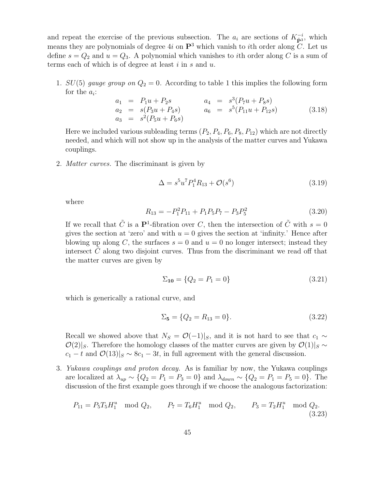and repeat the exercise of the previous subsection. The  $a_i$  are sections of  $K_{\tilde{P}^3}^-$ , which means they are polynomials of degree 4i on  $\mathbb{P}^3$  which vanish to ith order along C. Let us define  $s = Q_2$  and  $u = Q_3$ . A polynomial which vanishes to *i*th order along C is a sum of terms each of which is of degree at least  $i$  in  $s$  and  $u$ .

1.  $SU(5)$  gauge group on  $Q_2 = 0$ . According to table 1 this implies the following form for the  $a_i$ :

$$
a_1 = P_1 u + P_2 s \qquad a_4 = s^3 (P_7 u + P_8 s) a_2 = s (P_3 u + P_4 s) \qquad a_6 = s^5 (P_{11} u + P_{12} s) \qquad (3.18) a_3 = s^2 (P_5 u + P_6 s)
$$

Here we included various subleading terms  $(P_2, P_4, P_6, P_8, P_{12})$  which are not directly needed, and which will not show up in the analysis of the matter curves and Yukawa couplings.

2. *Matter curves.* The discriminant is given by

$$
\Delta = s^5 u^7 P_1^4 R_{13} + \mathcal{O}(s^6) \tag{3.19}
$$

where

$$
R_{13} = -P_1^2 P_{11} + P_1 P_5 P_7 - P_3 P_5^2 \tag{3.20}
$$

If we recall that  $\tilde{C}$  is a  $\mathbf{P}^1$ -fibration over C, then the intersection of  $\tilde{C}$  with  $s=0$ gives the section at 'zero' and with  $u = 0$  gives the section at 'infinity.' Hence after blowing up along C, the surfaces  $s = 0$  and  $u = 0$  no longer intersect; instead they intersect  $C$  along two disjoint curves. Thus from the discriminant we read off that the matter curves are given by

$$
\Sigma_{10} = \{Q_2 = P_1 = 0\} \tag{3.21}
$$

which is generically a rational curve, and

$$
\Sigma_5 = \{Q_2 = R_{13} = 0\}.\tag{3.22}
$$

Recall we showed above that  $N_S = \mathcal{O}(-1)|_S$ , and it is not hard to see that  $c_1 \sim$  $\mathcal{O}(2)|_S$ . Therefore the homology classes of the matter curves are given by  $\mathcal{O}(1)|_S \sim$  $c_1 - t$  and  $\mathcal{O}(13)|_S \sim 8c_1 - 3t$ , in full agreement with the general discussion.

3. *Yukawa couplings and proton decay.* As is familiar by now, the Yukawa couplings are localized at  $\lambda_{up} \sim \{Q_2 = P_1 = P_3 = 0\}$  and  $\lambda_{down} \sim \{Q_2 = P_1 = P_5 = 0\}$ . The discussion of the first example goes through if we choose the analogous factorization:

$$
P_{11} = P_5 T_5 H_1^u \mod Q_2, \qquad P_7 = T_6 H_1^u \mod Q_2, \qquad P_3 = T_2 H_1^u \mod Q_2.
$$
\n(3.23)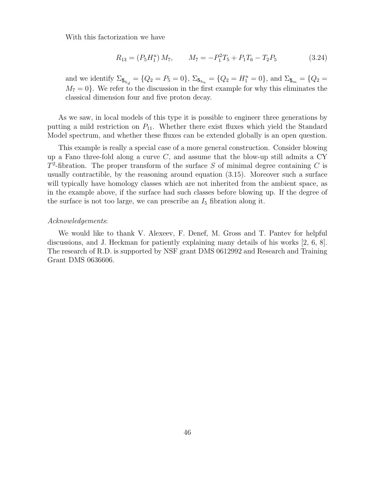With this factorization we have

$$
R_{13} = (P_5 H_1^u) M_7, \qquad M_7 = -P_1^2 T_5 + P_1 T_6 - T_2 P_5 \tag{3.24}
$$

and we identify  $\Sigma_{\bar{\mathbf{5}}_{h_d}} = \{Q_2 = P_5 = 0\}, \ \Sigma_{\mathbf{5}_{h_u}} = \{Q_2 = H_1^u = 0\}, \$ and  $\Sigma_{\bar{\mathbf{5}}_m} = \{Q_2 = 0\}$  $M_7 = 0$ . We refer to the discussion in the first example for why this eliminates the classical dimension four and five proton decay.

As we saw, in local models of this type it is possible to engineer three generations by putting a mild restriction on  $P_{11}$ . Whether there exist fluxes which yield the Standard Model spectrum, and whether these fluxes can be extended globally is an open question.

This example is really a special case of a more general construction. Consider blowing up a Fano three-fold along a curve  $C$ , and assume that the blow-up still admits a CY  $T^2$ -fibration. The proper transform of the surface S of minimal degree containing C is usually contractible, by the reasoning around equation (3.15). Moreover such a surface will typically have homology classes which are not inherited from the ambient space, as in the example above, if the surface had such classes before blowing up. If the degree of the surface is not too large, we can prescribe an  $I_5$  fibration along it.

#### *Acknowledgements*:

We would like to thank V. Alexeev, F. Denef, M. Gross and T. Pantev for helpful discussions, and J. Heckman for patiently explaining many details of his works [2, 6, 8]. The research of R.D. is supported by NSF grant DMS 0612992 and Research and Training Grant DMS 0636606.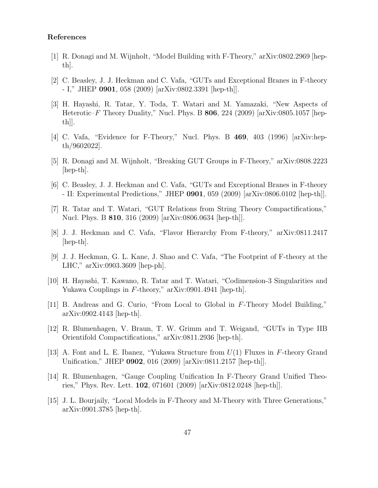## References

- [1] R. Donagi and M. Wijnholt, "Model Building with F-Theory," arXiv:0802.2969 [hepth].
- [2] C. Beasley, J. J. Heckman and C. Vafa, "GUTs and Exceptional Branes in F-theory - I," JHEP 0901, 058 (2009) [arXiv:0802.3391 [hep-th]].
- [3] H. Hayashi, R. Tatar, Y. Toda, T. Watari and M. Yamazaki, "New Aspects of Heterotic–F Theory Duality," Nucl. Phys. B  $806$ , 224 (2009) [arXiv:0805.1057 [hepth]].
- [4] C. Vafa, "Evidence for F-Theory," Nucl. Phys. B 469, 403 (1996) [arXiv:hepth/9602022].
- [5] R. Donagi and M. Wijnholt, "Breaking GUT Groups in F-Theory," arXiv:0808.2223 [hep-th].
- [6] C. Beasley, J. J. Heckman and C. Vafa, "GUTs and Exceptional Branes in F-theory - II: Experimental Predictions," JHEP 0901, 059 (2009) [arXiv:0806.0102 [hep-th]].
- [7] R. Tatar and T. Watari, "GUT Relations from String Theory Compactifications," Nucl. Phys. B 810, 316 (2009) [arXiv:0806.0634 [hep-th]].
- [8] J. J. Heckman and C. Vafa, "Flavor Hierarchy From F-theory," arXiv:0811.2417 [hep-th].
- [9] J. J. Heckman, G. L. Kane, J. Shao and C. Vafa, "The Footprint of F-theory at the LHC," arXiv:0903.3609 [hep-ph].
- [10] H. Hayashi, T. Kawano, R. Tatar and T. Watari, "Codimension-3 Singularities and Yukawa Couplings in F-theory," arXiv:0901.4941 [hep-th].
- [11] B. Andreas and G. Curio, "From Local to Global in F-Theory Model Building," arXiv:0902.4143 [hep-th].
- [12] R. Blumenhagen, V. Braun, T. W. Grimm and T. Weigand, "GUTs in Type IIB Orientifold Compactifications," arXiv:0811.2936 [hep-th].
- [13] A. Font and L. E. Ibanez, "Yukawa Structure from  $U(1)$  Fluxes in F-theory Grand Unification," JHEP 0902, 016 (2009) [arXiv:0811.2157 [hep-th]].
- [14] R. Blumenhagen, "Gauge Coupling Unification In F-Theory Grand Unified Theories," Phys. Rev. Lett. 102, 071601 (2009) [arXiv:0812.0248 [hep-th]].
- [15] J. L. Bourjaily, "Local Models in F-Theory and M-Theory with Three Generations," arXiv:0901.3785 [hep-th].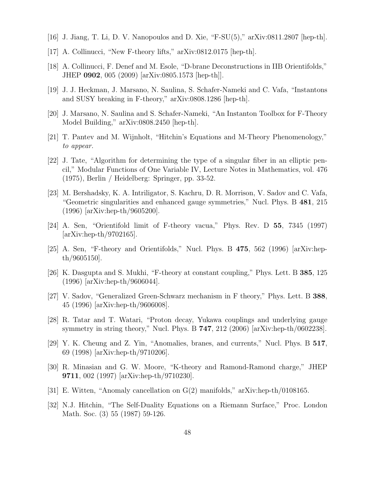- [16] J. Jiang, T. Li, D. V. Nanopoulos and D. Xie, "F-SU(5)," arXiv:0811.2807 [hep-th].
- [17] A. Collinucci, "New F-theory lifts," arXiv:0812.0175 [hep-th].
- [18] A. Collinucci, F. Denef and M. Esole, "D-brane Deconstructions in IIB Orientifolds," JHEP 0902, 005 (2009) [arXiv:0805.1573 [hep-th]].
- [19] J. J. Heckman, J. Marsano, N. Saulina, S. Schafer-Nameki and C. Vafa, "Instantons and SUSY breaking in F-theory," arXiv:0808.1286 [hep-th].
- [20] J. Marsano, N. Saulina and S. Schafer-Nameki, "An Instanton Toolbox for F-Theory Model Building," arXiv:0808.2450 [hep-th].
- [21] T. Pantev and M. Wijnholt, "Hitchin's Equations and M-Theory Phenomenology," *to appear.*
- [22] J. Tate, "Algorithm for determining the type of a singular fiber in an elliptic pencil," Modular Functions of One Variable IV, Lecture Notes in Mathematics, vol. 476 (1975), Berlin / Heidelberg: Springer, pp. 33-52.
- [23] M. Bershadsky, K. A. Intriligator, S. Kachru, D. R. Morrison, V. Sadov and C. Vafa, "Geometric singularities and enhanced gauge symmetries," Nucl. Phys. B 481, 215 (1996) [arXiv:hep-th/9605200].
- [24] A. Sen, "Orientifold limit of F-theory vacua," Phys. Rev. D 55, 7345 (1997) [arXiv:hep-th/9702165].
- [25] A. Sen, "F-theory and Orientifolds," Nucl. Phys. B 475, 562 (1996) [arXiv:hepth/9605150].
- [26] K. Dasgupta and S. Mukhi, "F-theory at constant coupling," Phys. Lett. B 385, 125 (1996) [arXiv:hep-th/9606044].
- [27] V. Sadov, "Generalized Green-Schwarz mechanism in F theory," Phys. Lett. B 388, 45 (1996) [arXiv:hep-th/9606008].
- [28] R. Tatar and T. Watari, "Proton decay, Yukawa couplings and underlying gauge symmetry in string theory," Nucl. Phys. B 747, 212 (2006) [arXiv:hep-th/0602238].
- [29] Y. K. Cheung and Z. Yin, "Anomalies, branes, and currents," Nucl. Phys. B 517, 69 (1998) [arXiv:hep-th/9710206].
- [30] R. Minasian and G. W. Moore, "K-theory and Ramond-Ramond charge," JHEP 9711, 002 (1997) [arXiv:hep-th/9710230].
- [31] E. Witten, "Anomaly cancellation on G(2) manifolds," arXiv:hep-th/0108165.
- [32] N.J. Hitchin, "The Self-Duality Equations on a Riemann Surface," Proc. London Math. Soc. (3) 55 (1987) 59-126.